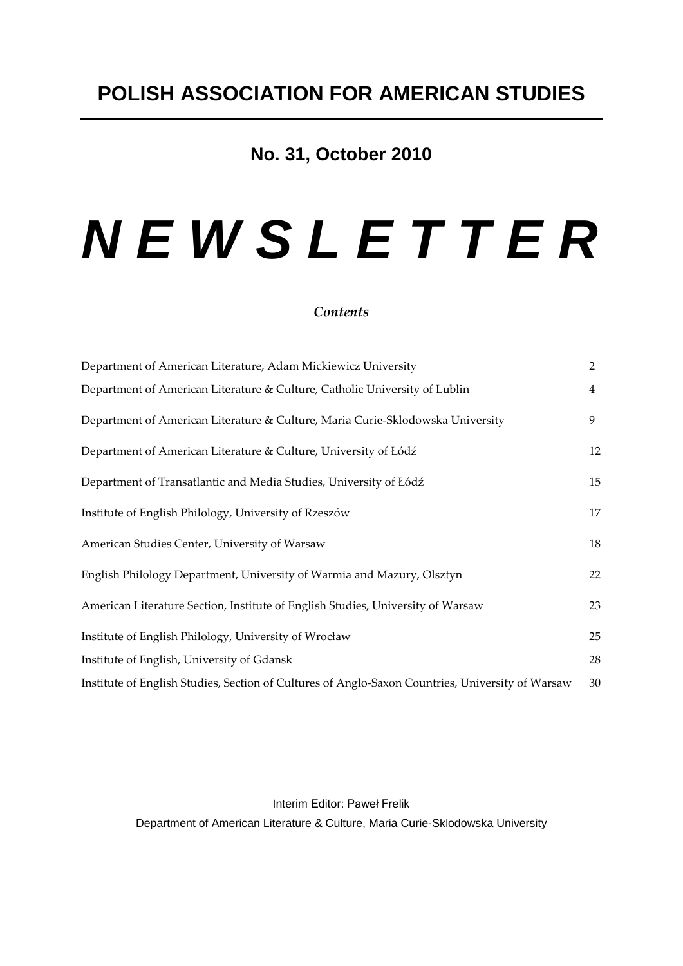### **No. 31, October 2010**

# *N E W S L E T T E R*

### *Contents*

| Department of American Literature, Adam Mickiewicz University                                    | $\overline{2}$ |
|--------------------------------------------------------------------------------------------------|----------------|
| Department of American Literature & Culture, Catholic University of Lublin                       | $\overline{4}$ |
| Department of American Literature & Culture, Maria Curie-Sklodowska University                   | 9              |
| Department of American Literature & Culture, University of Łódź                                  | 12             |
| Department of Transatlantic and Media Studies, University of Łódź                                | 15             |
| Institute of English Philology, University of Rzeszów                                            | 17             |
| American Studies Center, University of Warsaw                                                    | 18             |
| English Philology Department, University of Warmia and Mazury, Olsztyn                           | 22             |
| American Literature Section, Institute of English Studies, University of Warsaw                  | 23             |
| Institute of English Philology, University of Wrocław                                            | 25             |
| Institute of English, University of Gdansk                                                       | 28             |
| Institute of English Studies, Section of Cultures of Anglo-Saxon Countries, University of Warsaw | 30             |

#### Interim Editor: Paweł Frelik

Department of American Literature & Culture, Maria Curie-Sklodowska University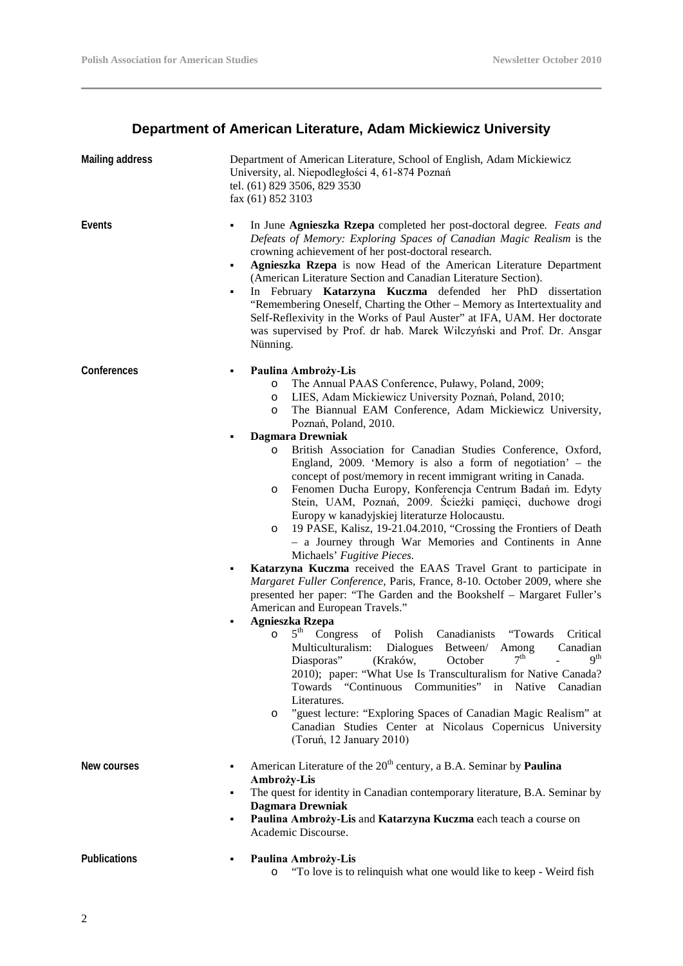### **Department of American Literature, Adam Mickiewicz University**

| <b>Mailing address</b> | Department of American Literature, School of English, Adam Mickiewicz<br>University, al. Niepodległości 4, 61-874 Poznań<br>tel. (61) 829 3506, 829 3530<br>fax (61) 852 3103                                                                                                                                                                                                                                                                                                                                                                                                                                                                                                                                                                                                                                                                                                                                                                                                                                                                                                                                                                                                                                                                                                                                                                                                                                                                                                                                                                                                                                                                                                            |
|------------------------|------------------------------------------------------------------------------------------------------------------------------------------------------------------------------------------------------------------------------------------------------------------------------------------------------------------------------------------------------------------------------------------------------------------------------------------------------------------------------------------------------------------------------------------------------------------------------------------------------------------------------------------------------------------------------------------------------------------------------------------------------------------------------------------------------------------------------------------------------------------------------------------------------------------------------------------------------------------------------------------------------------------------------------------------------------------------------------------------------------------------------------------------------------------------------------------------------------------------------------------------------------------------------------------------------------------------------------------------------------------------------------------------------------------------------------------------------------------------------------------------------------------------------------------------------------------------------------------------------------------------------------------------------------------------------------------|
| Events                 | In June Agnieszka Rzepa completed her post-doctoral degree. Feats and<br>٠<br>Defeats of Memory: Exploring Spaces of Canadian Magic Realism is the<br>crowning achievement of her post-doctoral research.<br>Agnieszka Rzepa is now Head of the American Literature Department<br>٠<br>(American Literature Section and Canadian Literature Section).<br>In February Katarzyna Kuczma defended her PhD dissertation<br>٠<br>"Remembering Oneself, Charting the Other - Memory as Intertextuality and<br>Self-Reflexivity in the Works of Paul Auster" at IFA, UAM. Her doctorate<br>was supervised by Prof. dr hab. Marek Wilczyński and Prof. Dr. Ansgar<br>Nünning.                                                                                                                                                                                                                                                                                                                                                                                                                                                                                                                                                                                                                                                                                                                                                                                                                                                                                                                                                                                                                    |
| Conferences            | Paulina Ambroży-Lis<br>The Annual PAAS Conference, Puławy, Poland, 2009;<br>$\circ$<br>LIES, Adam Mickiewicz University Poznań, Poland, 2010;<br>O<br>The Biannual EAM Conference, Adam Mickiewicz University,<br>O<br>Poznań, Poland, 2010.<br><b>Dagmara Drewniak</b><br>British Association for Canadian Studies Conference, Oxford,<br>$\circ$<br>England, 2009. 'Memory is also a form of negotiation' $-$ the<br>concept of post/memory in recent immigrant writing in Canada.<br>Fenomen Ducha Europy, Konferencja Centrum Badań im. Edyty<br>O<br>Stein, UAM, Poznań, 2009. Ścieżki pamięci, duchowe drogi<br>Europy w kanadyjskiej literaturze Holocaustu.<br>19 PASE, Kalisz, 19-21.04.2010, "Crossing the Frontiers of Death<br>O<br>- a Journey through War Memories and Continents in Anne<br>Michaels' Fugitive Pieces.<br>Katarzyna Kuczma received the EAAS Travel Grant to participate in<br>٠<br>Margaret Fuller Conference, Paris, France, 8-10. October 2009, where she<br>presented her paper: "The Garden and the Bookshelf - Margaret Fuller's<br>American and European Travels."<br><b>Agnieszka Rzepa</b><br>٠<br>$5th$ Congress<br>Canadianists<br>of Polish<br>"Towards"<br>Critical<br>$\circ$<br>Multiculturalism:<br>Dialogues<br>Between/<br>Canadian<br>Among<br>7 <sup>th</sup><br>9 <sup>th</sup><br>Diasporas"<br>(Kraków,<br>October<br>2010); paper: "What Use Is Transculturalism for Native Canada?<br>Towards "Continuous Communities" in Native Canadian<br>Literatures.<br>"guest lecture: "Exploring Spaces of Canadian Magic Realism" at<br>$\circ$<br>Canadian Studies Center at Nicolaus Copernicus University<br>(Toruń, 12 January 2010) |
| New courses            | American Literature of the 20 <sup>th</sup> century, a B.A. Seminar by <b>Paulina</b><br>٠<br>Ambroży-Lis<br>The quest for identity in Canadian contemporary literature, B.A. Seminar by<br>٠<br><b>Dagmara Drewniak</b><br>Paulina Ambroży-Lis and Katarzyna Kuczma each teach a course on<br>٠<br>Academic Discourse.                                                                                                                                                                                                                                                                                                                                                                                                                                                                                                                                                                                                                                                                                                                                                                                                                                                                                                                                                                                                                                                                                                                                                                                                                                                                                                                                                                  |
| Publications           | Paulina Ambroży-Lis<br>"To love is to relinquish what one would like to keep - Weird fish<br>$\circ$                                                                                                                                                                                                                                                                                                                                                                                                                                                                                                                                                                                                                                                                                                                                                                                                                                                                                                                                                                                                                                                                                                                                                                                                                                                                                                                                                                                                                                                                                                                                                                                     |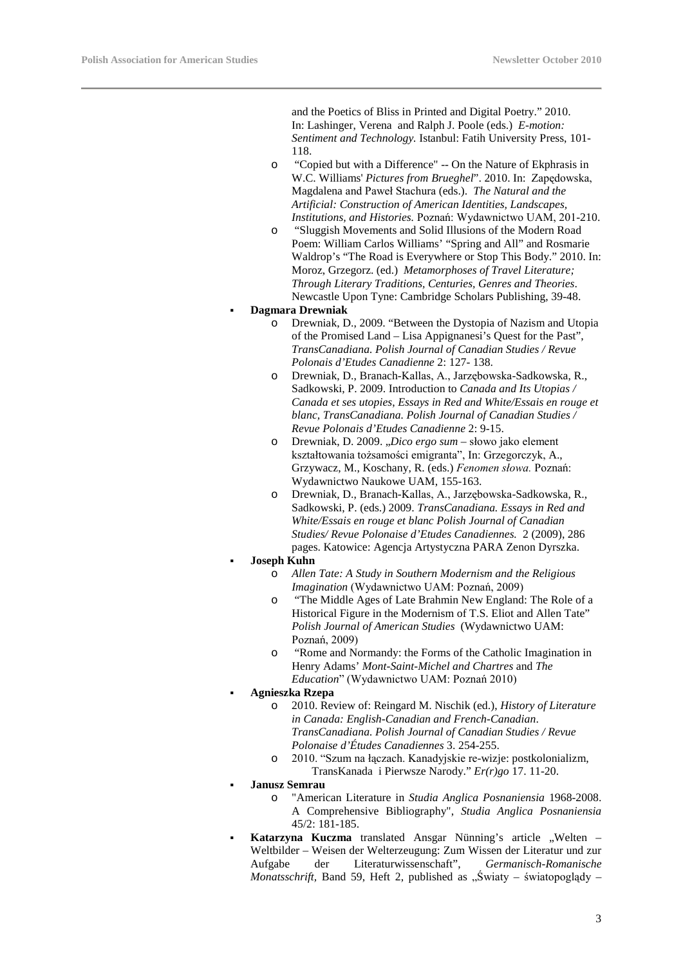and the Poetics of Bliss in Printed and Digital Poetry." 2010. In: Lashinger, Verena and Ralph J. Poole (eds.) *E-motion: Sentiment and Technology.* Istanbul: Fatih University Press, 101- 118.

- o "Copied but with a Difference" -- On the Nature of Ekphrasis in W.C. Williams' *Pictures from Brueghel*". 2010. In: Zapędowska, Magdalena and Paweł Stachura (eds.). *The Natural and the Artificial: Construction of American Identities, Landscapes, Institutions, and Histories.* Poznań: Wydawnictwo UAM, 201-210.
- o ["Sluggish Movements and Solid Illusions of the Modern Road](http://ifa.amu.edu.pl/publications/node/2694)  [Poem: William Carlos Williams' "Spring and All" and Rosmarie](http://ifa.amu.edu.pl/publications/node/2694)  [Waldrop's "The Road is Everywhere or Stop This Body.](http://ifa.amu.edu.pl/publications/node/2694)" 2010. In: Moroz, Grzegorz. (ed.) *Metamorphoses of Travel Literature; Through Literary Traditions, Centuries, Genres and Theories*. Newcastle Upon Tyne: Cambridge Scholars Publishing, 39-48.
- **Dagmara Drewniak**
	- o Drewniak, D., 2009. "Between the Dystopia of Nazism and Utopia of the Promised Land – Lisa Appignanesi's Quest for the Past", *TransCanadiana. Polish Journal of Canadian Studies / Revue Polonais d'Etudes Canadienne* 2: 127- 138.
	- o Drewniak, D., Branach-Kallas, A., Jarzębowska-Sadkowska, R., Sadkowski, P. 2009. Introduction to *Canada and Its Utopias / Canada et ses utopies*, *Essays in Red and White/Essais en rouge et blanc, TransCanadiana. Polish Journal of Canadian Studies / Revue Polonais d'Etudes Canadienne* 2: 9-15.
	- o Drewniak, D. 2009. "Dico ergo sum słowo jako element kształtowania tożsamości emigranta", In: Grzegorczyk, A., Grzywacz, M., Koschany, R. (eds.) *Fenomen słowa.* Poznań: Wydawnictwo Naukowe UAM, 155-163.
	- o Drewniak, D., Branach-Kallas, A., Jarzębowska-Sadkowska, R., Sadkowski, P. (eds.) 2009. *TransCanadiana. Essays in Red and White/Essais en rouge et blanc Polish Journal of Canadian Studies/ Revue Polonaise d'Etudes Canadiennes.* 2 (2009), 286 pages. Katowice: Agencja Artystyczna PARA Zenon Dyrszka.

#### **Joseph Kuhn**

- o *Allen Tate: A Study in Southern Modernism and the Religious Imagination* (Wydawnictwo UAM: Poznań, 2009)
- o "The Middle Ages of Late Brahmin New England: The Role of a Historical Figure in the Modernism of T.S. Eliot and Allen Tate" *Polish Journal of American Studies* (Wydawnictwo UAM: Poznań, 2009)
- "Rome and Normandy: the Forms of the Catholic Imagination in Henry Adams' *Mont-Saint-Michel and Chartres* and *The Education*" (Wydawnictwo UAM: Poznań 2010)

#### **Agnieszka Rzepa**

- o 2010. Review of: Reingard M. Nischik (ed.), *History of Literature in Canada: English-Canadian and French-Canadian*. *TransCanadiana. Polish Journal of Canadian Studies / Revue Polonaise d'Études Canadiennes* 3. 254-255.
- o 2010. "Szum na łączach. Kanadyjskie re-wizje: postkolonializm, TransKanada i Pierwsze Narody." *Er(r)go* 17. 11-20.

#### **Janusz Semrau**

- o "American Literature in *Studia Anglica Posnaniensia* 1968-2008. A Comprehensive Bibliography", *Studia Anglica Posnaniensia*  45/2: 181-185.
- Katarzyna Kuczma translated Ansgar Nünning's article .Welten -Weltbilder – Weisen der Welterzeugung: Zum Wissen der Literatur und zur Aufgabe der Literaturwissenschaft", *Germanisch-Romanische Monatsschrift*, Band 59, Heft 2, published as "Światy – światopoglądy –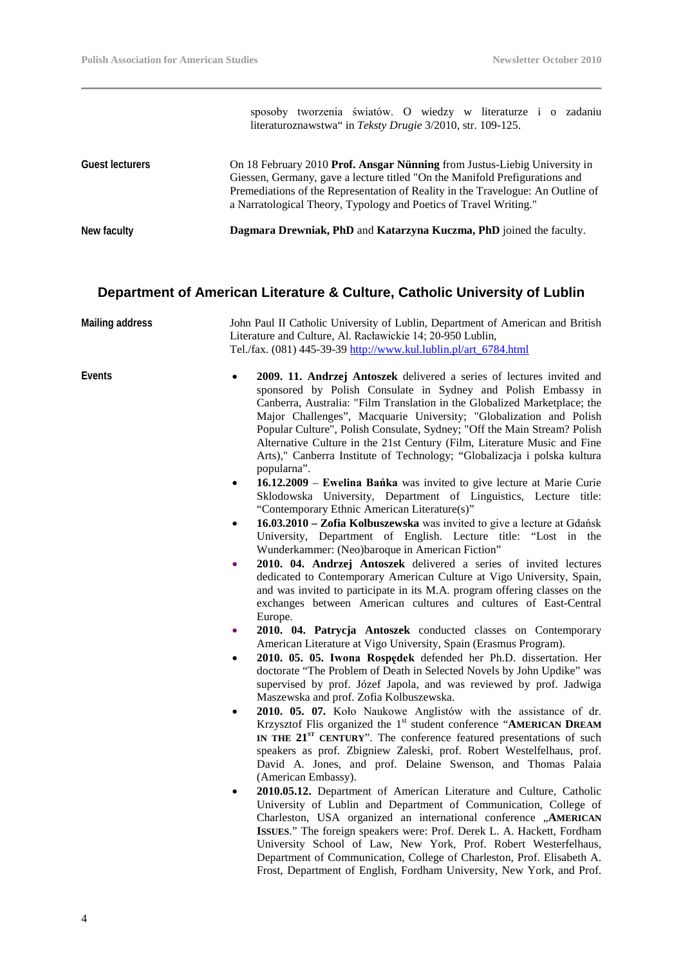sposoby tworzenia światów. O wiedzy w literaturze i o zadaniu literaturoznawstwa" in *Teksty Drugie* 3/2010, str. 109-125.

| <b>Guest lecturers</b> | On 18 February 2010 Prof. Ansgar Nünning from Justus-Liebig University in<br>Giessen, Germany, gave a lecture titled "On the Manifold Prefigurations and<br>Premediations of the Representation of Reality in the Travelogue: An Outline of<br>a Narratological Theory, Typology and Poetics of Travel Writing." |
|------------------------|------------------------------------------------------------------------------------------------------------------------------------------------------------------------------------------------------------------------------------------------------------------------------------------------------------------|
| New faculty            | Dagmara Drewniak, PhD and Katarzyna Kuczma, PhD joined the faculty.                                                                                                                                                                                                                                              |

### **Department of American Literature & Culture, Catholic University of Lublin**

| Mailing address | John Paul II Catholic University of Lublin, Department of American and British<br>Literature and Culture, Al. Racławickie 14; 20-950 Lublin,<br>Tel./fax. (081) 445-39-39 http://www.kul.lublin.pl/art_6784.html                                                                                                                                                                                                                                                                                                                                                                                                                                                                                                                                                                                                                                                                                                                                                                                                                                                                                                                                                                                                                                                                                                                                                                                                                                                                                                                                                                                                                                                                                                                                                                                                                                                                                                                                                                                                                                                                                                                                                                                                                                                                                                                                                                                                                                                                                                                                                                                                                             |
|-----------------|----------------------------------------------------------------------------------------------------------------------------------------------------------------------------------------------------------------------------------------------------------------------------------------------------------------------------------------------------------------------------------------------------------------------------------------------------------------------------------------------------------------------------------------------------------------------------------------------------------------------------------------------------------------------------------------------------------------------------------------------------------------------------------------------------------------------------------------------------------------------------------------------------------------------------------------------------------------------------------------------------------------------------------------------------------------------------------------------------------------------------------------------------------------------------------------------------------------------------------------------------------------------------------------------------------------------------------------------------------------------------------------------------------------------------------------------------------------------------------------------------------------------------------------------------------------------------------------------------------------------------------------------------------------------------------------------------------------------------------------------------------------------------------------------------------------------------------------------------------------------------------------------------------------------------------------------------------------------------------------------------------------------------------------------------------------------------------------------------------------------------------------------------------------------------------------------------------------------------------------------------------------------------------------------------------------------------------------------------------------------------------------------------------------------------------------------------------------------------------------------------------------------------------------------------------------------------------------------------------------------------------------------|
| Events          | 2009. 11. Andrzej Antoszek delivered a series of lectures invited and<br>sponsored by Polish Consulate in Sydney and Polish Embassy in<br>Canberra, Australia: "Film Translation in the Globalized Marketplace; the<br>Major Challenges", Macquarie University; "Globalization and Polish<br>Popular Culture", Polish Consulate, Sydney; "Off the Main Stream? Polish<br>Alternative Culture in the 21st Century (Film, Literature Music and Fine<br>Arts)," Canberra Institute of Technology; "Globalizacja i polska kultura<br>popularna".<br>16.12.2009 – Ewelina Bańka was invited to give lecture at Marie Curie<br>٠<br>Sklodowska University, Department of Linguistics, Lecture title:<br>"Contemporary Ethnic American Literature(s)"<br>16.03.2010 - Zofia Kolbuszewska was invited to give a lecture at Gdańsk<br>$\bullet$<br>University, Department of English. Lecture title: "Lost in the<br>Wunderkammer: (Neo)baroque in American Fiction"<br>2010. 04. Andrzej Antoszek delivered a series of invited lectures<br>٠<br>dedicated to Contemporary American Culture at Vigo University, Spain,<br>and was invited to participate in its M.A. program offering classes on the<br>exchanges between American cultures and cultures of East-Central<br>Europe.<br>2010. 04. Patrycja Antoszek conducted classes on Contemporary<br>۰<br>American Literature at Vigo University, Spain (Erasmus Program).<br>2010. 05. 05. Iwona Rospedek defended her Ph.D. dissertation. Her<br>$\bullet$<br>doctorate "The Problem of Death in Selected Novels by John Updike" was<br>supervised by prof. Józef Japola, and was reviewed by prof. Jadwiga<br>Maszewska and prof. Zofia Kolbuszewska.<br>2010. 05. 07. Koło Naukowe Anglistów with the assistance of dr.<br>$\bullet$<br>Krzysztof Flis organized the 1 <sup>st</sup> student conference "AMERICAN DREAM<br>IN THE 21 <sup>ST</sup> CENTURY". The conference featured presentations of such<br>speakers as prof. Zbigniew Zaleski, prof. Robert Westelfelhaus, prof.<br>David A. Jones, and prof. Delaine Swenson, and Thomas Palaia<br>(American Embassy).<br>2010.05.12. Department of American Literature and Culture, Catholic<br>٠<br>University of Lublin and Department of Communication, College of<br>Charleston, USA organized an international conference "AMERICAN<br>ISSUES." The foreign speakers were: Prof. Derek L. A. Hackett, Fordham<br>University School of Law, New York, Prof. Robert Westerfelhaus,<br>Department of Communication, College of Charleston, Prof. Elisabeth A.<br>Frost, Department of English, Fordham University, New York, and Prof. |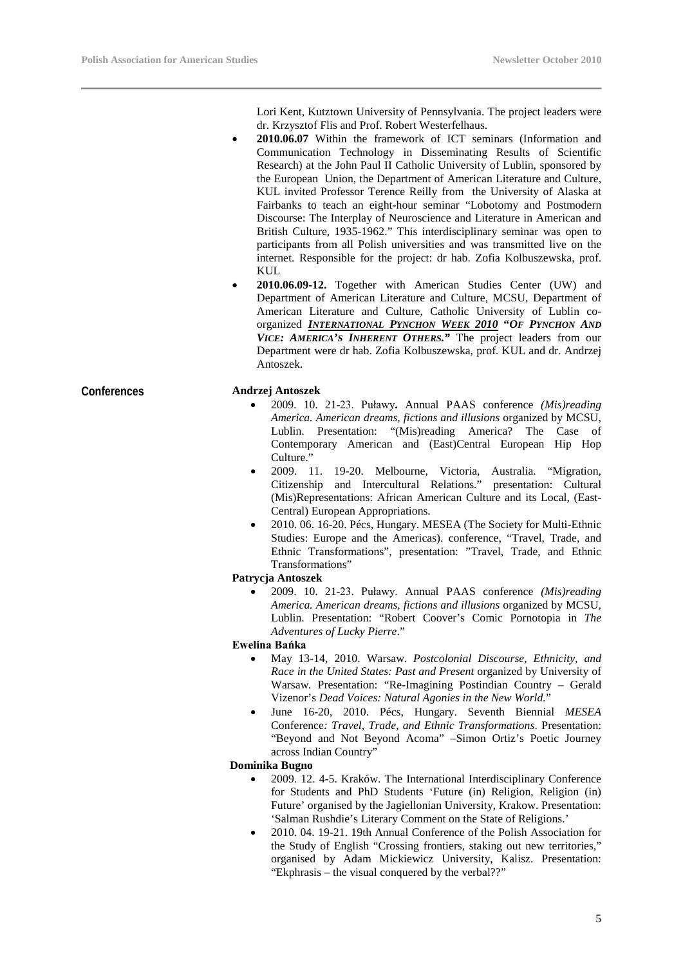Lori Kent, Kutztown University of Pennsylvania. The project leaders were dr. Krzysztof Flis and Prof. Robert Westerfelhaus.

- **2010.06.07** Within the framework of ICT seminars (Information and Communication Technology in Disseminating Results of Scientific Research) at the John Paul II Catholic University of Lublin, sponsored by the European Union, the Department of American Literature and Culture, KUL invited Professor Terence Reilly from the University of Alaska at Fairbanks to teach an eight-hour seminar "Lobotomy and Postmodern Discourse: The Interplay of Neuroscience and Literature in American and British Culture, 1935-1962." This interdisciplinary seminar was open to participants from all Polish universities and was transmitted live on the internet. Responsible for the project: dr hab. Zofia Kolbuszewska, prof. KUL
- **2010.06.09-12.** Together with American Studies Center (UW) and Department of American Literature and Culture, MCSU, Department of American Literature and Culture, Catholic University of Lublin coorganized *INTERNATIONAL PYNCHON WEEK 2010* **"***OF PYNCHON AND VICE: AMERICA'S INHERENT OTHERS."* The project leaders from our Department were dr hab. Zofia Kolbuszewska, prof. KUL and dr. Andrzej Antoszek.

#### **Conferences Andrzej Antoszek**

- 2009. 10. 21-23. Puławy**.** Annual PAAS conference *(Mis)reading America. American dreams, fictions and illusions* organized by MCSU, Lublin. Presentation: "(Mis)reading America? The Case of Contemporary American and (East)Central European Hip Hop Culture."
- 2009. 11. 19-20. Melbourne, Victoria, Australia. "Migration, Citizenship and Intercultural Relations." presentation: Cultural (Mis)Representations: African American Culture and its Local, (East-Central) European Appropriations.
- 2010. 06. 16-20. Pécs, Hungary. MESEA (The Society for Multi-Ethnic Studies: Europe and the Americas). conference, "Travel, Trade, and Ethnic Transformations", presentation: "Travel, Trade, and Ethnic Transformations"

#### **Patrycja Antoszek**

• 2009. 10. 21-23. Puławy. Annual PAAS conference *(Mis)reading America. American dreams, fictions and illusions* organized by MCSU, Lublin. Presentation: "Robert Coover's Comic Pornotopia in *The Adventures of Lucky Pierre*."

#### **Ewelina Bańka**

- May 13-14, 2010. Warsaw. *Postcolonial Discourse, Ethnicity, and Race in the United States: Past and Present* organized by University of Warsaw*.* Presentation: "Re-Imagining Postindian Country – Gerald Vizenor's *Dead Voices: Natural Agonies in the New World.*"
- June 16-20, 2010. Pécs, Hungary. Seventh Biennial *MESEA*  Conference*: Travel, Trade, and Ethnic Transformations*. Presentation: "Beyond and Not Beyond Acoma" –Simon Ortiz's Poetic Journey across Indian Country"

#### **Dominika Bugno**

- 2009. 12. 4-5. Kraków. The International Interdisciplinary Conference for Students and PhD Students 'Future (in) Religion, Religion (in) Future' organised by the Jagiellonian University, Krakow. Presentation: 'Salman Rushdie's Literary Comment on the State of Religions.'
- 2010. 04. 19-21. 19th Annual Conference of the Polish Association for the Study of English "Crossing frontiers, staking out new territories," organised by Adam Mickiewicz University, Kalisz. Presentation: "Ekphrasis – the visual conquered by the verbal??"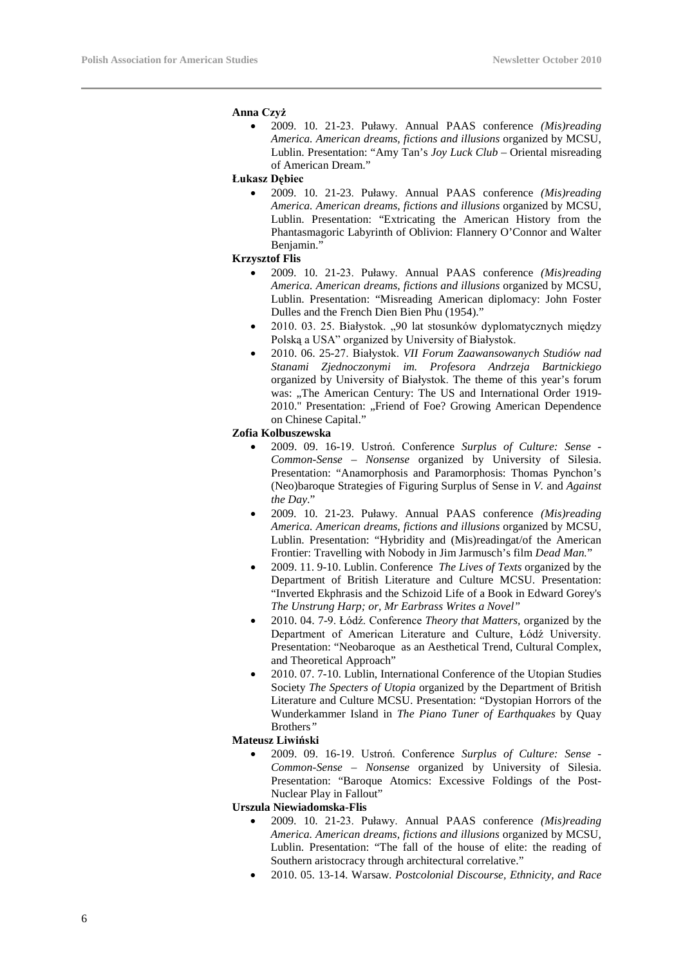#### **Anna Czyż**

• 2009. 10. 21-23. Puławy. Annual PAAS conference *(Mis)reading America. American dreams, fictions and illusions* organized by MCSU, Lublin. Presentation: "Amy Tan's *Joy Luck Club* – Oriental misreading of American Dream."

**Łukasz Dębiec** 

• 2009. 10. 21-23. Puławy. Annual PAAS conference *(Mis)reading America. American dreams, fictions and illusions* organized by MCSU, Lublin. Presentation: "Extricating the American History from the Phantasmagoric Labyrinth of Oblivion: Flannery O'Connor and Walter Benjamin."

#### **Krzysztof Flis**

- 2009. 10. 21-23. Puławy. Annual PAAS conference *(Mis)reading America. American dreams, fictions and illusions* organized by MCSU, Lublin. Presentation: "Misreading American diplomacy: John Foster Dulles and the French Dien Bien Phu (1954)."
- 2010. 03. 25. Białystok. "90 lat stosunków dyplomatycznych między Polską a USA" organized by University of Białystok.
- 2010. 06. 25-27. Białystok. *VII Forum Zaawansowanych Studiów nad Stanami Zjednoczonymi im. Profesora Andrzeja Bartnickiego*  organized by University of Białystok. The theme of this year's forum was: "The American Century: The US and International Order 1919-2010." Presentation: "Friend of Foe? Growing American Dependence on Chinese Capital."

#### **Zofia Kolbuszewska**

- 2009. 09. 16-19. Ustroń. Conference *Surplus of Culture: Sense - Common-Sense – Nonsense* organized by University of Silesia. Presentation: "Anamorphosis and Paramorphosis: Thomas Pynchon's (Neo)baroque Strategies of Figuring Surplus of Sense in *V.* and *Against the Day*."
- 2009. 10. 21-23. Puławy. Annual PAAS conference *(Mis)reading America. American dreams, fictions and illusions* organized by MCSU, Lublin. Presentation: "Hybridity and (Mis)readingat/of the American Frontier: Travelling with Nobody in Jim Jarmusch's film *Dead Man.*"
- 2009. 11. 9-10. Lublin. Conference *The Lives of Texts* organized by the Department of British Literature and Culture MCSU. Presentation: "Inverted Ekphrasis and the Schizoid Life of a Book in Edward Gorey's *The Unstrung Harp; or, Mr Earbrass Writes a Novel"*
- 2010. 04. 7-9. Łódź. Conference *Theory that Matters,* organized by the Department of American Literature and Culture, Łódź University. Presentation: "Neobaroque as an Aesthetical Trend, Cultural Complex, and Theoretical Approach"
- 2010. 07. 7-10. Lublin, International Conference of the Utopian Studies Society *The Specters of Utopia* organized by the Department of British Literature and Culture MCSU. Presentation: "Dystopian Horrors of the Wunderkammer Island in *The Piano Tuner of Earthquakes* by Quay Brothers*"*

#### **Mateusz Liwiński**

• 2009. 09. 16-19. Ustroń. Conference *Surplus of Culture: Sense - Common-Sense – Nonsense* organized by University of Silesia. Presentation: "Baroque Atomics: Excessive Foldings of the Post-Nuclear Play in Fallout"

#### **Urszula Niewiadomska-Flis**

- 2009. 10. 21-23. Puławy. Annual PAAS conference *(Mis)reading America. American dreams, fictions and illusions* organized by MCSU, Lublin. Presentation: "The fall of the house of elite: the reading of Southern aristocracy through architectural correlative."
- 2010. 05. 13-14. Warsaw. *Postcolonial Discourse, Ethnicity, and Race*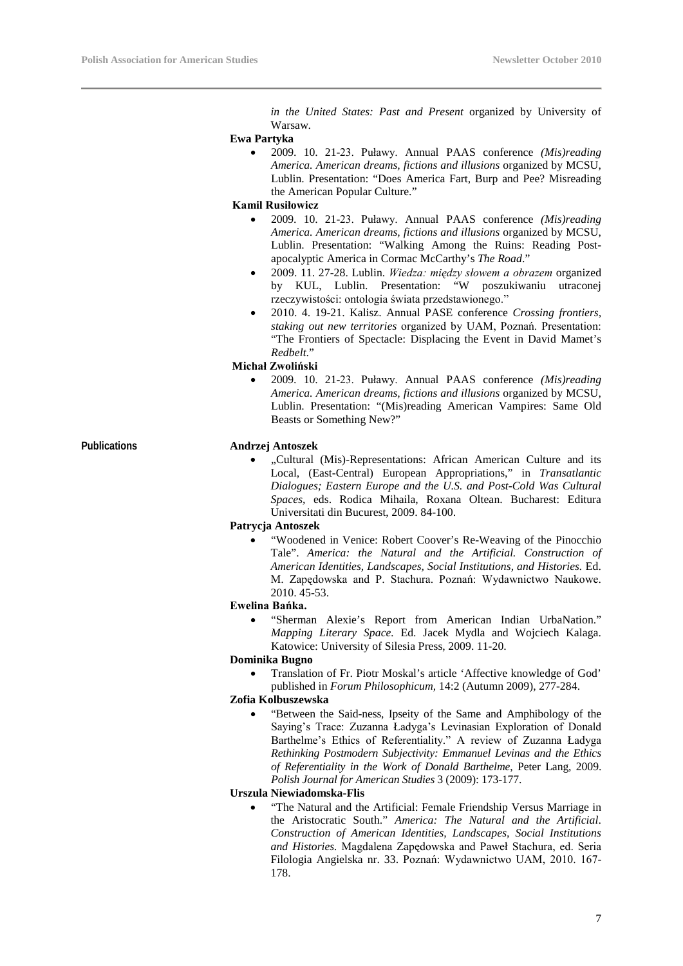*in the United States: Past and Present* organized by University of Warsaw.

#### **Ewa Partyka**

• 2009. 10. 21-23. Puławy. Annual PAAS conference *(Mis)reading America. American dreams, fictions and illusions* organized by MCSU, Lublin. Presentation: "Does America Fart, Burp and Pee? Misreading the American Popular Culture."

#### **Kamil Rusiłowicz**

- 2009. 10. 21-23. Puławy. Annual PAAS conference *(Mis)reading America. American dreams, fictions and illusions* organized by MCSU, Lublin. Presentation: "Walking Among the Ruins: Reading Postapocalyptic America in Cormac McCarthy's *The Road*."
- 2009. 11. 27-28. Lublin. *Wiedza: między słowem a obrazem* organized by KUL, Lublin. Presentation: "W poszukiwaniu utraconej rzeczywistości: ontologia świata przedstawionego."
- 2010. 4. 19-21. Kalisz. Annual PASE conference *Crossing frontiers, staking out new territories* organized by UAM, Poznań. Presentation: "The Frontiers of Spectacle: Displacing the Event in David Mamet's *Redbelt*."

#### **Michał Zwoliński**

• 2009. 10. 21-23. Puławy. Annual PAAS conference *(Mis)reading America. American dreams, fictions and illusions* organized by MCSU, Lublin. Presentation: "(Mis)reading American Vampires: Same Old Beasts or Something New?"

#### **Publications Andrzej Antoszek**

• "Cultural (Mis)-Representations: African American Culture and its Local, (East-Central) European Appropriations," in *Transatlantic Dialogues; Eastern Europe and the U.S. and Post-Cold Was Cultural Spaces,* eds. Rodica Mihaila, Roxana Oltean. Bucharest: Editura Universitati din Bucurest, 2009. 84-100.

#### **Patrycja Antoszek**

• "Woodened in Venice: Robert Coover's Re-Weaving of the Pinocchio Tale". *America: the Natural and the Artificial. Construction of American Identities, Landscapes, Social Institutions, and Histories.* Ed. M. Zapędowska and P. Stachura. Poznań: Wydawnictwo Naukowe. 2010. 45-53.

#### **Ewelina Bańka.**

• "Sherman Alexie's Report from American Indian UrbaNation." *Mapping Literary Space.* Ed. Jacek Mydla and Wojciech Kalaga. Katowice: University of Silesia Press, 2009. 11-20.

#### **Dominika Bugno**

• Translation of Fr. Piotr Moskal's article 'Affective knowledge of God' published in *Forum Philosophicum,* 14:2 (Autumn 2009), 277-284.

#### **Zofia Kolbuszewska**

• "Between the Said-ness, Ipseity of the Same and Amphibology of the Saying's Trace: Zuzanna Ładyga's Levinasian Exploration of Donald Barthelme's Ethics of Referentiality." A review of Zuzanna Ładyga *Rethinking Postmodern Subjectivity: Emmanuel Levinas and the Ethics of Referentiality in the Work of Donald Barthelme*, Peter Lang, 2009. *Polish Journal for American Studies* 3 (2009): 173-177.

#### **Urszula Niewiadomska-Flis**

• "The Natural and the Artificial: Female Friendship Versus Marriage in the Aristocratic South." *America: The Natural and the Artificial*. *Construction of American Identities, Landscapes, Social Institutions and Histories.* Magdalena Zapędowska and Paweł Stachura, ed. Seria Filologia Angielska nr. 33. Poznań: Wydawnictwo UAM, 2010. 167- 178.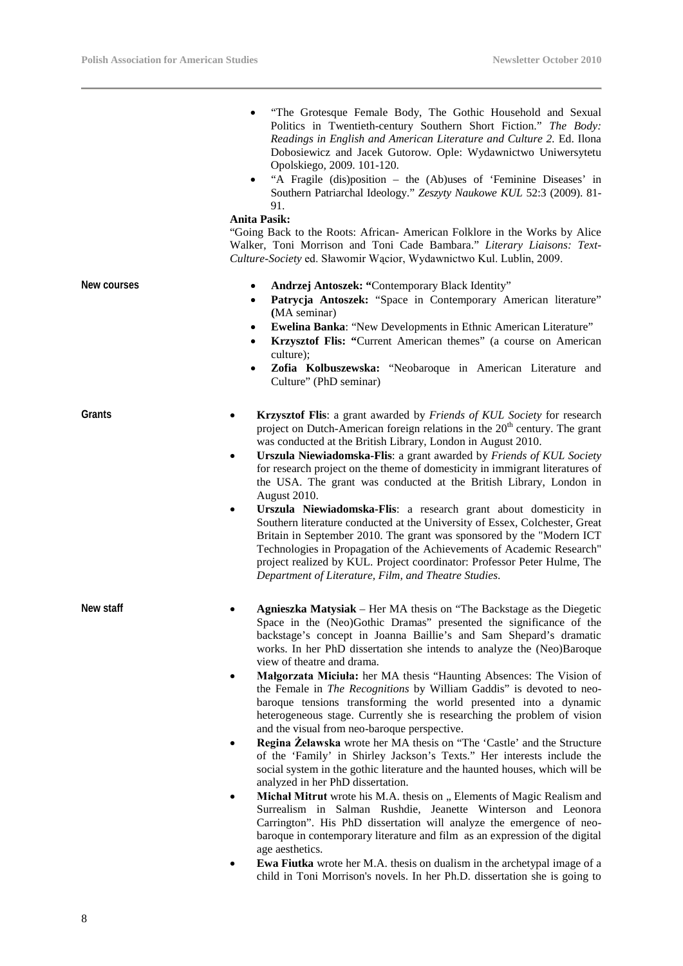L

|             | "The Grotesque Female Body, The Gothic Household and Sexual<br>Politics in Twentieth-century Southern Short Fiction." The Body:<br>Readings in English and American Literature and Culture 2. Ed. Ilona<br>Dobosiewicz and Jacek Gutorow. Ople: Wydawnictwo Uniwersytetu<br>Opolskiego, 2009. 101-120.<br>"A Fragile (dis)position - the (Ab)uses of 'Feminine Diseases' in<br>Southern Patriarchal Ideology." Zeszyty Naukowe KUL 52:3 (2009). 81-<br>91.<br><b>Anita Pasik:</b><br>"Going Back to the Roots: African- American Folklore in the Works by Alice<br>Walker, Toni Morrison and Toni Cade Bambara." Literary Liaisons: Text-<br>Culture-Society ed. Sławomir Wącior, Wydawnictwo Kul. Lublin, 2009.                                                                                                                                                                                                                                                                                                                                                                                                                                                                                                                                                                                                                                                                                                                                           |
|-------------|------------------------------------------------------------------------------------------------------------------------------------------------------------------------------------------------------------------------------------------------------------------------------------------------------------------------------------------------------------------------------------------------------------------------------------------------------------------------------------------------------------------------------------------------------------------------------------------------------------------------------------------------------------------------------------------------------------------------------------------------------------------------------------------------------------------------------------------------------------------------------------------------------------------------------------------------------------------------------------------------------------------------------------------------------------------------------------------------------------------------------------------------------------------------------------------------------------------------------------------------------------------------------------------------------------------------------------------------------------------------------------------------------------------------------------------------------------|
| New courses | Andrzej Antoszek: "Contemporary Black Identity"<br>$\bullet$<br>Patrycja Antoszek: "Space in Contemporary American literature"<br>$\bullet$<br>(MA seminar)<br><b>Ewelina Banka:</b> "New Developments in Ethnic American Literature"<br>$\bullet$<br>Krzysztof Flis: "Current American themes" (a course on American<br>$\bullet$<br>culture);<br>Zofia Kolbuszewska: "Neobaroque in American Literature and<br>٠<br>Culture" (PhD seminar)                                                                                                                                                                                                                                                                                                                                                                                                                                                                                                                                                                                                                                                                                                                                                                                                                                                                                                                                                                                                               |
| Grants      | Krzysztof Flis: a grant awarded by Friends of KUL Society for research<br>٠<br>project on Dutch-American foreign relations in the 20 <sup>th</sup> century. The grant<br>was conducted at the British Library, London in August 2010.<br>Urszula Niewiadomska-Flis: a grant awarded by Friends of KUL Society<br>٠<br>for research project on the theme of domesticity in immigrant literatures of<br>the USA. The grant was conducted at the British Library, London in<br>August 2010.<br>Urszula Niewiadomska-Flis: a research grant about domesticity in<br>٠<br>Southern literature conducted at the University of Essex, Colchester, Great<br>Britain in September 2010. The grant was sponsored by the "Modern ICT<br>Technologies in Propagation of the Achievements of Academic Research"<br>project realized by KUL. Project coordinator: Professor Peter Hulme, The<br>Department of Literature, Film, and Theatre Studies.                                                                                                                                                                                                                                                                                                                                                                                                                                                                                                                     |
| New staff   | Agnieszka Matysiak - Her MA thesis on "The Backstage as the Diegetic<br>Space in the (Neo)Gothic Dramas" presented the significance of the<br>backstage's concept in Joanna Baillie's and Sam Shepard's dramatic<br>works. In her PhD dissertation she intends to analyze the (Neo)Baroque<br>view of theatre and drama.<br>Malgorzata Miciula: her MA thesis "Haunting Absences: The Vision of<br>٠<br>the Female in <i>The Recognitions</i> by William Gaddis" is devoted to neo-<br>baroque tensions transforming the world presented into a dynamic<br>heterogeneous stage. Currently she is researching the problem of vision<br>and the visual from neo-baroque perspective.<br>Regina Żelawska wrote her MA thesis on "The 'Castle' and the Structure<br>٠<br>of the 'Family' in Shirley Jackson's Texts." Her interests include the<br>social system in the gothic literature and the haunted houses, which will be<br>analyzed in her PhD dissertation.<br>Michał Mitrut wrote his M.A. thesis on " Elements of Magic Realism and<br>٠<br>Surrealism in Salman Rushdie, Jeanette Winterson and Leonora<br>Carrington". His PhD dissertation will analyze the emergence of neo-<br>baroque in contemporary literature and film as an expression of the digital<br>age aesthetics.<br><b>Ewa Fiutka</b> wrote her M.A. thesis on dualism in the archetypal image of a<br>child in Toni Morrison's novels. In her Ph.D. dissertation she is going to |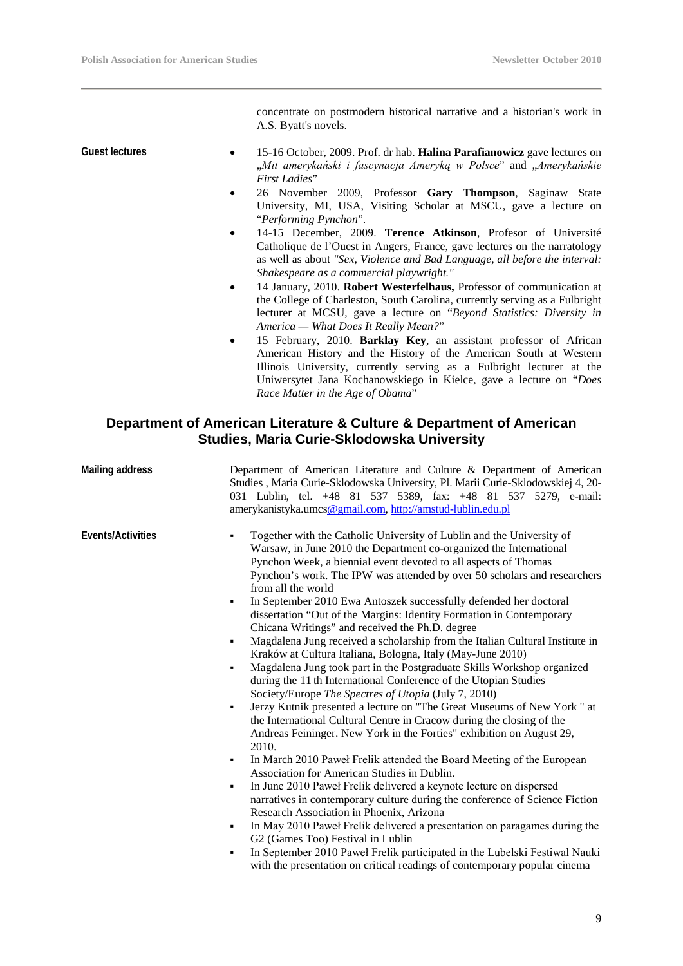concentrate on postmodern historical narrative and a historian's work in A.S. Byatt's novels.

- **Guest lectures** 15-16 October, 2009. Prof. dr hab. **Halina Parafianowicz** gave lectures on "*Mit amerykański i fascynacja Ameryką w Polsce*" and "*Amerykańskie First Ladies*"
	- 26 November 2009, Professor **Gary Thompson**, Saginaw State University, MI, USA, Visiting Scholar at MSCU, gave a lecture on "*Performing Pynchon*".
	- 14-15 December, 2009. **Terence Atkinson**, Profesor of Université Catholique de l'Ouest in Angers, France, gave lectures on the narratology as well as about *"Sex, Violence and Bad Language, all before the interval: Shakespeare as a commercial playwright."*
	- 14 January, 2010. **Robert Westerfelhaus,** Professor of communication at the College of Charleston, South Carolina, currently serving as a Fulbright lecturer at MCSU, gave a lecture on "*Beyond Statistics: Diversity in America — What Does It Really Mean?*"
	- 15 February, 2010. **Barklay Key**, an assistant professor of African American History and the History of the American South at Western Illinois University, currently serving as a Fulbright lecturer at the Uniwersytet Jana Kochanowskiego in Kielce, gave a lecture on "*Does Race Matter in the Age of Obama*"

#### **Department of American Literature & Culture & Department of American Studies, Maria Curie-Sklodowska University**

| <b>Mailing address</b> | Department of American Literature and Culture & Department of American<br>Studies, Maria Curie-Sklodowska University, Pl. Marii Curie-Sklodowskiej 4, 20-<br>031 Lublin, tel. +48 81 537 5389, fax: +48 81 537 5279, e-mail:<br>amerykanistyka.umcs@gmail.com, http://amstud-lublin.edu.pl                                                                                                                                                                                                                                                                                                                                                                                                                                                                                                                                                                                                                                                                                                                                                                                                                                                                                                                                                                                                                                                                                                                                                                                                                                                                                                                                                                                                                                                            |
|------------------------|-------------------------------------------------------------------------------------------------------------------------------------------------------------------------------------------------------------------------------------------------------------------------------------------------------------------------------------------------------------------------------------------------------------------------------------------------------------------------------------------------------------------------------------------------------------------------------------------------------------------------------------------------------------------------------------------------------------------------------------------------------------------------------------------------------------------------------------------------------------------------------------------------------------------------------------------------------------------------------------------------------------------------------------------------------------------------------------------------------------------------------------------------------------------------------------------------------------------------------------------------------------------------------------------------------------------------------------------------------------------------------------------------------------------------------------------------------------------------------------------------------------------------------------------------------------------------------------------------------------------------------------------------------------------------------------------------------------------------------------------------------|
| Events/Activities      | Together with the Catholic University of Lublin and the University of<br>Warsaw, in June 2010 the Department co-organized the International<br>Pynchon Week, a biennial event devoted to all aspects of Thomas<br>Pynchon's work. The IPW was attended by over 50 scholars and researchers<br>from all the world<br>In September 2010 Ewa Antoszek successfully defended her doctoral<br>٠<br>dissertation "Out of the Margins: Identity Formation in Contemporary<br>Chicana Writings" and received the Ph.D. degree<br>Magdalena Jung received a scholarship from the Italian Cultural Institute in<br>٠<br>Kraków at Cultura Italiana, Bologna, Italy (May-June 2010)<br>Magdalena Jung took part in the Postgraduate Skills Workshop organized<br>٠<br>during the 11th International Conference of the Utopian Studies<br>Society/Europe The Spectres of Utopia (July 7, 2010)<br>Jerzy Kutnik presented a lecture on "The Great Museums of New York" at<br>٠<br>the International Cultural Centre in Cracow during the closing of the<br>Andreas Feininger. New York in the Forties" exhibition on August 29,<br>2010.<br>In March 2010 Paweł Frelik attended the Board Meeting of the European<br>٠<br>Association for American Studies in Dublin.<br>In June 2010 Paweł Frelik delivered a keynote lecture on dispersed<br>٠<br>narratives in contemporary culture during the conference of Science Fiction<br>Research Association in Phoenix, Arizona<br>In May 2010 Paweł Frelik delivered a presentation on paragames during the<br>٠<br>G2 (Games Too) Festival in Lublin<br>In September 2010 Paweł Frelik participated in the Lubelski Festiwal Nauki<br>٠<br>with the presentation on critical readings of contemporary popular cinema |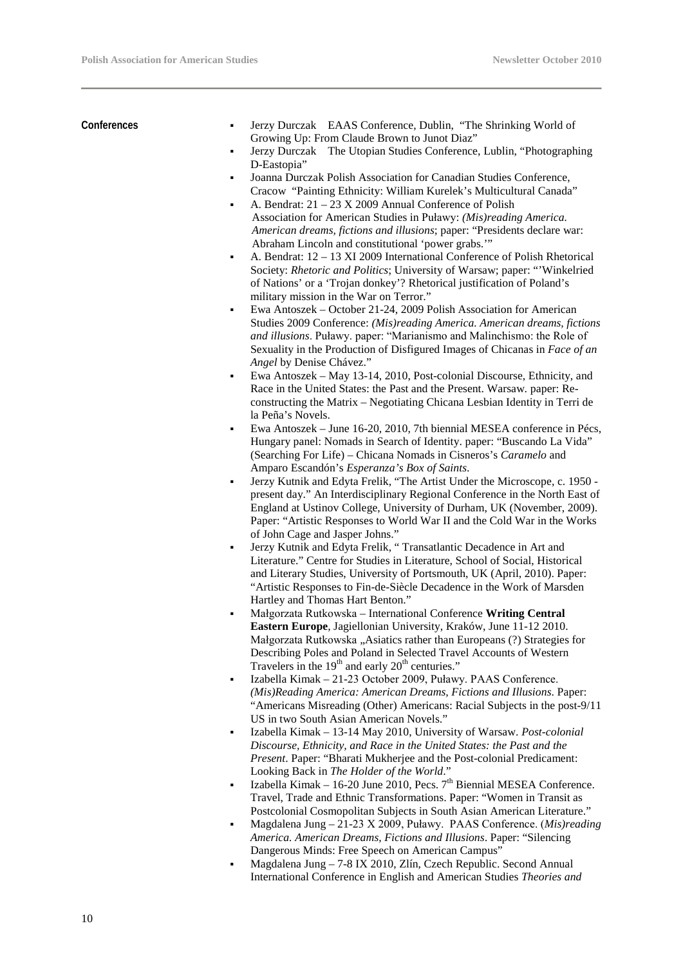**Conferences**  Jerzy Durczak EAAS Conference, Dublin, "The Shrinking World of Growing Up: From Claude Brown to Junot Diaz" Jerzy Durczak The Utopian Studies Conference, Lublin, "Photographing D-Eastopia" Joanna Durczak Polish Association for Canadian Studies Conference, Cracow "Painting Ethnicity: William Kurelek's Multicultural Canada" A. Bendrat: 21 – 23 X 2009 Annual Conference of Polish Association for American Studies in Puławy: *(Mis)reading America. American dreams, fictions and illusions*; paper: "Presidents declare war: Abraham Lincoln and constitutional 'power grabs.'" A. Bendrat: 12 – 13 XI 2009 International Conference of Polish Rhetorical Society: *Rhetoric and Politics*; University of Warsaw; paper: "'Winkelried of Nations' or a 'Trojan donkey'? Rhetorical justification of Poland's military mission in the War on Terror." Ewa Antoszek – October 21-24, 2009 Polish Association for American Studies 2009 Conference: *(Mis)reading America. American dreams, fictions and illusions*. Puławy. paper: "Marianismo and Malinchismo: the Role of Sexuality in the Production of Disfigured Images of Chicanas in *Face of an Angel* by Denise Chávez." Ewa Antoszek – May 13-14, 2010, Post-colonial Discourse, Ethnicity, and Race in the United States: the Past and the Present. Warsaw. paper: Reconstructing the Matrix – Negotiating Chicana Lesbian Identity in Terri de la Peña's Novels. Ewa Antoszek – June 16-20, 2010, 7th biennial MESEA conference in Pécs, Hungary panel: Nomads in Search of Identity. paper: "Buscando La Vida" (Searching For Life) – Chicana Nomads in Cisneros's *Caramelo* and Amparo Escandón's *Esperanza's Box of Saints*. Jerzy Kutnik and Edyta Frelik, "The Artist Under the Microscope, c. 1950 present day." An Interdisciplinary Regional Conference in the North East of England at Ustinov College, University of Durham, UK (November, 2009). Paper: "Artistic Responses to World War II and the Cold War in the Works of John Cage and Jasper Johns." Jerzy Kutnik and Edyta Frelik, " Transatlantic Decadence in Art and Literature." Centre for Studies in Literature, School of Social, Historical and Literary Studies, University of Portsmouth, UK (April, 2010). Paper: "Artistic Responses to Fin-de-Siècle Decadence in the Work of Marsden Hartley and Thomas Hart Benton." Małgorzata Rutkowska – International Conference **Writing Central Eastern Europe**, Jagiellonian University, Kraków, June 11-12 2010. Małgorzata Rutkowska "Asiatics rather than Europeans (?) Strategies for Describing Poles and Poland in Selected Travel Accounts of Western

Travelers in the  $19<sup>th</sup>$  and early  $20<sup>th</sup>$  centuries."

- Izabella Kimak 21-23 October 2009, Puławy. PAAS Conference. *(Mis)Reading America: American Dreams, Fictions and Illusions*. Paper: "Americans Misreading (Other) Americans: Racial Subjects in the post-9/11 US in two South Asian American Novels."
- Izabella Kimak 13-14 May 2010, University of Warsaw. *Post-colonial Discourse, Ethnicity, and Race in the United States: the Past and the Present*. Paper: "Bharati Mukherjee and the Post-colonial Predicament: Looking Back in *The Holder of the World*."
- Izabella Kimak 16-20 June 2010, Pecs.  $7<sup>th</sup>$  Biennial MESEA Conference. Travel, Trade and Ethnic Transformations. Paper: "Women in Transit as Postcolonial Cosmopolitan Subjects in South Asian American Literature."
- Magdalena Jung 21-23 X 2009, Puławy. PAAS Conference. (*Mis)reading America. American Dreams, Fictions and Illusions*. Paper: "Silencing Dangerous Minds: Free Speech on American Campus"
- Magdalena Jung 7-8 IX 2010, Zlín, Czech Republic. Second Annual International Conference in English and American Studies *Theories and*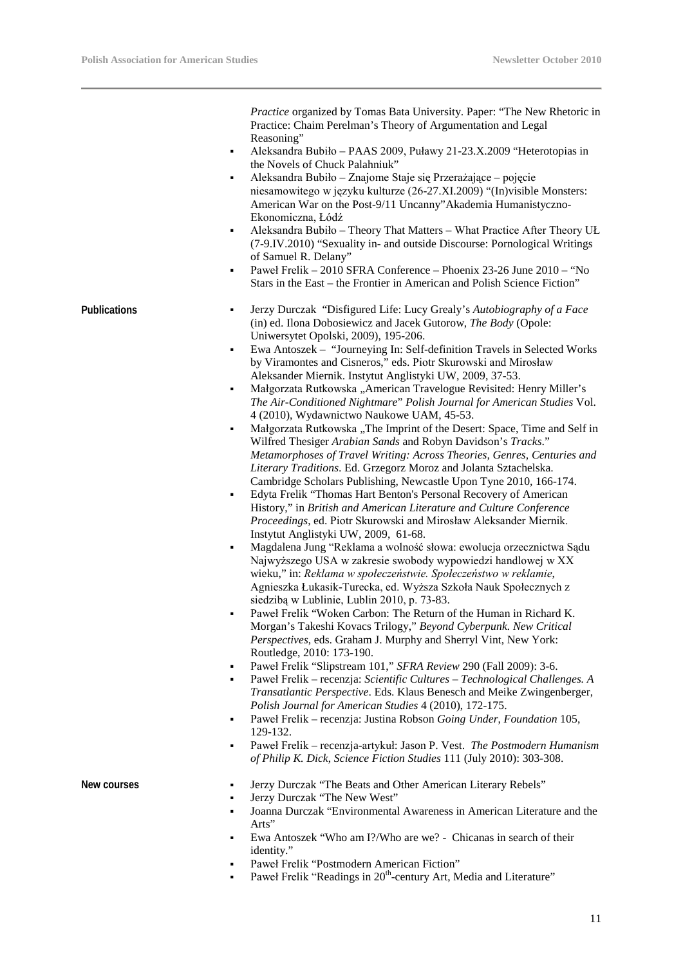*Practice* organized by Tomas Bata University. Paper: "The New Rhetoric in Practice: Chaim Perelman's Theory of Argumentation and Legal Reasoning"

- Aleksandra Bubiło PAAS 2009, Puławy 21-23.X.2009 "Heterotopias in the Novels of Chuck Palahniuk"
- Aleksandra Bubiło Znajome Staje się Przerażające pojęcie niesamowitego w języku kulturze (26-27.XI.2009) "(In)visible Monsters: American War on the Post-9/11 Uncanny"Akademia Humanistyczno-Ekonomiczna, Łódź
- Aleksandra Bubiło Theory That Matters What Practice After Theory UŁ (7-9.IV.2010) "Sexuality in- and outside Discourse: Pornological Writings of Samuel R. Delany"
- Paweł Frelik 2010 SFRA Conference Phoenix 23-26 June 2010 "No Stars in the East – the Frontier in American and Polish Science Fiction"

- **Publications** Jerzy Durczak "Disfigured Life: Lucy Grealy's *Autobiography of a Face* (in) ed. Ilona Dobosiewicz and Jacek Gutorow, *The Body* (Opole: Uniwersytet Opolski, 2009), 195-206.
	- Ewa Antoszek "Journeying In: Self-definition Travels in Selected Works by Viramontes and Cisneros," eds. Piotr Skurowski and Mirosław Aleksander Miernik. Instytut Anglistyki UW, 2009, 37-53.
	- Małgorzata Rutkowska "American Travelogue Revisited: Henry Miller's *The Air-Conditioned Nightmare*" *Polish Journal for American Studies* Vol. 4 (2010), Wydawnictwo Naukowe UAM, 45-53.
	- Małgorzata Rutkowska "The Imprint of the Desert: Space, Time and Self in Wilfred Thesiger *Arabian Sands* and Robyn Davidson's *Tracks*." *Metamorphoses of Travel Writing: Across Theories, Genres, Centuries and Literary Traditions*. Ed. Grzegorz Moroz and Jolanta Sztachelska. Cambridge Scholars Publishing, Newcastle Upon Tyne 2010*,* 166-174.
	- Edyta Frelik "Thomas Hart Benton's Personal Recovery of American History," in *British and American Literature and Culture Conference Proceedings*, ed. Piotr Skurowski and Mirosław Aleksander Miernik. Instytut Anglistyki UW, 2009, 61-68.
	- Magdalena Jung "Reklama a wolność słowa: ewolucja orzecznictwa Sądu Najwyższego USA w zakresie swobody wypowiedzi handlowej w XX wieku," in: *Reklama w społeczeństwie. Społeczeństwo w reklamie*, Agnieszka Łukasik-Turecka, ed. Wyższa Szkoła Nauk Społecznych z siedzibą w Lublinie, Lublin 2010, p. 73-83.
	- Paweł Frelik "Woken Carbon: The Return of the Human in Richard K. Morgan's Takeshi Kovacs Trilogy," *Beyond Cyberpunk. New Critical Perspectives*, eds. Graham J. Murphy and Sherryl Vint, New York: Routledge, 2010: 173-190.
	- Paweł Frelik "Slipstream 101," *SFRA Review* 290 (Fall 2009): 3-6.
	- Paweł Frelik recenzja: *Scientific Cultures – Technological Challenges. A Transatlantic Perspective*. Eds. Klaus Benesch and Meike Zwingenberger, *Polish Journal for American Studies* 4 (2010), 172-175.
	- Paweł Frelik recenzja: Justina Robson *Going Under*, *Foundation* 105, 129-132.
	- Paweł Frelik recenzja-artykuł: Jason P. Vest. *The Postmodern Humanism of Philip K. Dick*, *Science Fiction Studies* 111 (July 2010): 303-308.

- **New courses IFRIP 1989 Jerzy Durczak "The Beats and Other American Literary Rebels"** 
	- Jerzy Durczak "The New West"
	- Joanna Durczak "Environmental Awareness in American Literature and the Arts"
	- Ewa Antoszek "Who am I?/Who are we? Chicanas in search of their identity."
	- Paweł Frelik "Postmodern American Fiction"
	- Paweł Frelik "Readings in 20<sup>th</sup>-century Art, Media and Literature"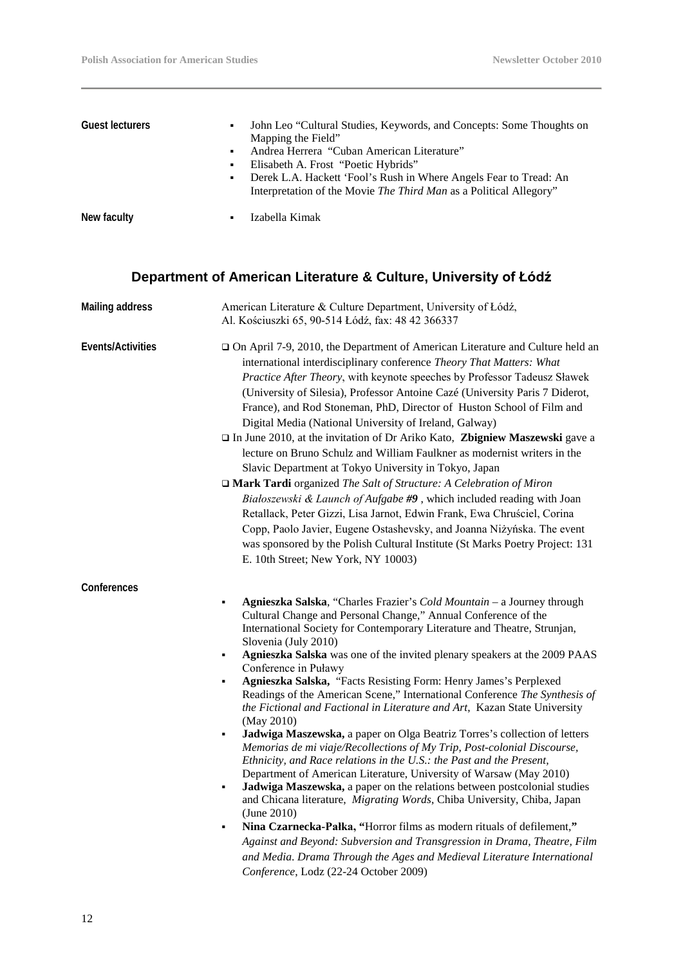| <b>Guest lecturers</b> | $\blacksquare$<br>$\blacksquare$<br>۰. | John Leo "Cultural Studies, Keywords, and Concepts: Some Thoughts on<br>Mapping the Field"<br>Andrea Herrera "Cuban American Literature"<br>Elisabeth A. Frost "Poetic Hybrids"<br>Derek L.A. Hackett 'Fool's Rush in Where Angels Fear to Tread: An<br>Interpretation of the Movie The Third Man as a Political Allegory" |
|------------------------|----------------------------------------|----------------------------------------------------------------------------------------------------------------------------------------------------------------------------------------------------------------------------------------------------------------------------------------------------------------------------|
| New faculty            | ٠                                      | Izabella Kimak                                                                                                                                                                                                                                                                                                             |

## **Department of American Literature & Culture, University of Łódź**

| <b>Mailing address</b> | American Literature & Culture Department, University of Łódź,<br>Al. Kościuszki 65, 90-514 Łódź, fax: 48 42 366337                                                                                                                                                                                                                                                                                                                                                                                                                                                                                                                                                                                                                                                                                                                                                                                                                                                                                                                                                                                                                                                                                                                                                                                                                                                                |
|------------------------|-----------------------------------------------------------------------------------------------------------------------------------------------------------------------------------------------------------------------------------------------------------------------------------------------------------------------------------------------------------------------------------------------------------------------------------------------------------------------------------------------------------------------------------------------------------------------------------------------------------------------------------------------------------------------------------------------------------------------------------------------------------------------------------------------------------------------------------------------------------------------------------------------------------------------------------------------------------------------------------------------------------------------------------------------------------------------------------------------------------------------------------------------------------------------------------------------------------------------------------------------------------------------------------------------------------------------------------------------------------------------------------|
| Events/Activities      | □ On April 7-9, 2010, the Department of American Literature and Culture held an<br>international interdisciplinary conference Theory That Matters: What<br>Practice After Theory, with keynote speeches by Professor Tadeusz Sławek<br>(University of Silesia), Professor Antoine Cazé (University Paris 7 Diderot,<br>France), and Rod Stoneman, PhD, Director of Huston School of Film and<br>Digital Media (National University of Ireland, Galway)<br>In June 2010, at the invitation of Dr Ariko Kato, Zbigniew Maszewski gave a<br>lecture on Bruno Schulz and William Faulkner as modernist writers in the<br>Slavic Department at Tokyo University in Tokyo, Japan<br>□ Mark Tardi organized The Salt of Structure: A Celebration of Miron<br>Białoszewski & Launch of Aufgabe #9, which included reading with Joan<br>Retallack, Peter Gizzi, Lisa Jarnot, Edwin Frank, Ewa Chruściel, Corina<br>Copp, Paolo Javier, Eugene Ostashevsky, and Joanna Niżyńska. The event<br>was sponsored by the Polish Cultural Institute (St Marks Poetry Project: 131<br>E. 10th Street; New York, NY 10003)                                                                                                                                                                                                                                                                           |
| Conferences            | Agnieszka Salska, "Charles Frazier's Cold Mountain - a Journey through<br>٠<br>Cultural Change and Personal Change," Annual Conference of the<br>International Society for Contemporary Literature and Theatre, Strunjan,<br>Slovenia (July 2010)<br>Agnieszka Salska was one of the invited plenary speakers at the 2009 PAAS<br>٠<br>Conference in Puławy<br>Agnieszka Salska, "Facts Resisting Form: Henry James's Perplexed<br>٠<br>Readings of the American Scene," International Conference The Synthesis of<br>the Fictional and Factional in Literature and Art, Kazan State University<br>(May 2010)<br>Jadwiga Maszewska, a paper on Olga Beatriz Torres's collection of letters<br>٠<br>Memorias de mi viaje/Recollections of My Trip, Post-colonial Discourse,<br>Ethnicity, and Race relations in the U.S.: the Past and the Present,<br>Department of American Literature, University of Warsaw (May 2010)<br>Jadwiga Maszewska, a paper on the relations between postcolonial studies<br>٠<br>and Chicana literature, Migrating Words, Chiba University, Chiba, Japan<br>(June 2010)<br>Nina Czarnecka-Pałka, "Horror films as modern rituals of defilement,"<br>٠<br>Against and Beyond: Subversion and Transgression in Drama, Theatre, Film<br>and Media. Drama Through the Ages and Medieval Literature International<br>Conference, Lodz (22-24 October 2009) |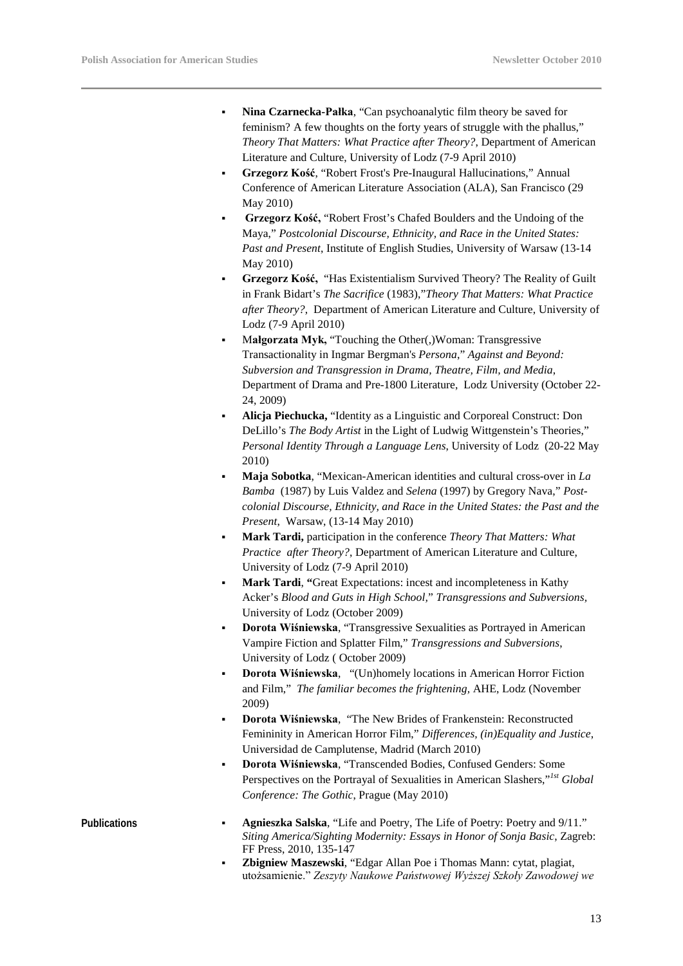- **Nina Czarnecka-Pałka**, "Can psychoanalytic film theory be saved for feminism? A few thoughts on the forty years of struggle with the phallus," *Theory That Matters: What Practice after Theory?*, Department of American Literature and Culture, University of Lodz (7-9 April 2010)
- **Grzegorz Kość**, "Robert Frost's Pre-Inaugural Hallucinations," Annual Conference of American Literature Association (ALA), San Francisco (29 May 2010)
- **Grzegorz Kość,** "Robert Frost's Chafed Boulders and the Undoing of the Maya," *Postcolonial Discourse, Ethnicity, and Race in the United States: Past and Present*, Institute of English Studies, University of Warsaw (13-14 May 2010)
- **Grzegorz Kość,** "Has Existentialism Survived Theory? The Reality of Guilt in Frank Bidart's *The Sacrifice* (1983),"*Theory That Matters: What Practice after Theory?*, Department of American Literature and Culture, University of Lodz (7-9 April 2010)
- M**ałgorzata Myk,** "Touching the Other(,)Woman: Transgressive Transactionality in Ingmar Bergman's *Persona*," *Against and Beyond: Subversion and Transgression in Drama, Theatre, Film, and Media*, Department of Drama and Pre-1800 Literature, Lodz University (October 22- 24, 2009)
- **Alicja Piechucka,** "Identity as a Linguistic and Corporeal Construct: Don DeLillo's *The Body Artist* in the Light of Ludwig Wittgenstein's Theories," *Personal Identity Through a Language Lens*, University of Lodz (20-22 May 2010)
- **Maja Sobotka**, "Mexican-American identities and cultural cross-over in *La Bamba* (1987) by Luis Valdez and *Selena* (1997) by Gregory Nava," *Postcolonial Discourse, Ethnicity, and Race in the United States: the Past and the Present*, Warsaw, (13-14 May 2010)
- **Mark Tardi,** participation in the conference *Theory That Matters: What Practice after Theory?*, Department of American Literature and Culture, University of Lodz (7-9 April 2010)
- **Mark Tardi**, **"**Great Expectations: incest and incompleteness in Kathy Acker's *Blood and Guts in High School,*" *Transgressions and Subversions,* University of Lodz (October 2009)
- **Dorota Wiśniewska**, "Transgressive Sexualities as Portrayed in American Vampire Fiction and Splatter Film," *Transgressions and Subversions*, University of Lodz ( October 2009)
- **Dorota Wiśniewska**, "(Un)homely locations in American Horror Fiction and Film," *The familiar becomes the frightening,* AHE, Lodz (November 2009)
- **Dorota Wiśniewska**, "The New Brides of Frankenstein: Reconstructed Femininity in American Horror Film," *Differences, (in)Equality and Justice*, Universidad de Camplutense, Madrid (March 2010)
- **Dorota Wiśniewska**, "Transcended Bodies, Confused Genders: Some Perspectives on the Portrayal of Sexualities in American Slashers,"<sup>Ist</sup> Global *Conference: The Gothic*, Prague (May 2010)

- **Publications Agnieszka Salska, "Life and Poetry, The Life of Poetry: Poetry and 9/11."** *Siting America/Sighting Modernity: Essays in Honor of Sonja Basic*, Zagreb: FF Press, 2010, 135-147
	- **Zbigniew Maszewski**, "Edgar Allan Poe i Thomas Mann: cytat, plagiat, utożsamienie." *Zeszyty Naukowe Państwowej Wyższej Szkoły Zawodowej we*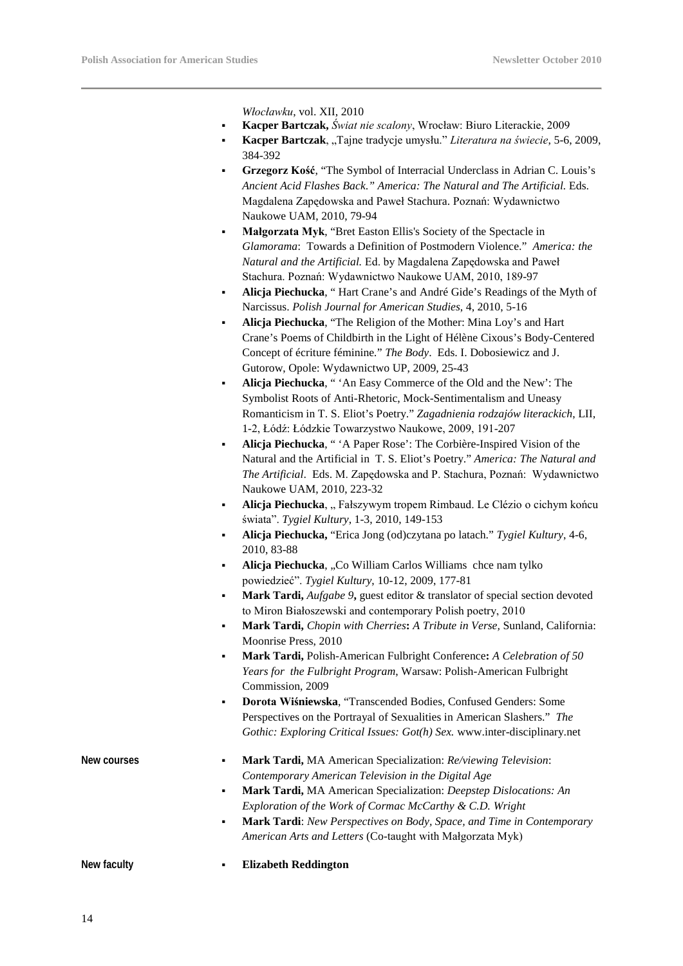*Włocławku*, vol. XII, 2010

- **Kacper Bartczak,** *Świat nie scalony*, Wrocław: Biuro Literackie, 2009
- **Kacper Bartczak**, "Tajne tradycje umysłu." *Literatura na świecie*, 5-6, 2009, 384-392
- **Grzegorz Kość**, "The Symbol of Interracial Underclass in Adrian C. Louis's *Ancient Acid Flashes Back*.*" America: The Natural and The Artificial.* Eds. Magdalena Zapędowska and Paweł Stachura. Poznań: Wydawnictwo Naukowe UAM, 2010, 79-94
- **Małgorzata Myk**, "Bret Easton Ellis's Society of the Spectacle in *Glamorama*: Towards a Definition of Postmodern Violence." *America: the Natural and the Artificial.* Ed. by Magdalena Zapędowska and Paweł Stachura. Poznań: Wydawnictwo Naukowe UAM, 2010, 189-97
- **Alicja Piechucka**, " Hart Crane's and André Gide's Readings of the Myth of Narcissus. *Polish Journal for American Studies*, 4, 2010, 5-16
- **Alicja Piechucka**, "The Religion of the Mother: Mina Loy's and Hart Crane's Poems of Childbirth in the Light of Hélène Cixous's Body-Centered Concept of écriture féminine*.*" *The Body*. Eds. I. Dobosiewicz and J. Gutorow, Opole: Wydawnictwo UP, 2009, 25-43
- **Alicja Piechucka**, " 'An Easy Commerce of the Old and the New': The Symbolist Roots of Anti-Rhetoric, Mock-Sentimentalism and Uneasy Romanticism in T. S. Eliot's Poetry." *Zagadnienia rodzajów literackich*, LII, 1-2, Łódź: Łódzkie Towarzystwo Naukowe, 2009, 191-207
- **Alicja Piechucka**, " 'A Paper Rose': The Corbière-Inspired Vision of the Natural and the Artificial in T. S. Eliot's Poetry." *America: The Natural and The Artificial*.Eds. M. Zapędowska and P. Stachura, Poznań: Wydawnictwo Naukowe UAM, 2010, 223-32
- Alicja Piechucka, "Fałszywym tropem Rimbaud. Le Clézio o cichym końcu świata". *Tygiel Kultury*, 1-3, 2010, 149-153
- **Alicja Piechucka,** "Erica Jong (od)czytana po latach." *Tygiel Kultury*, 4-6, 2010, 83-88
- Alicja Piechucka, "Co William Carlos Williams chee nam tylko powiedzieć". *Tygiel Kultury*, 10-12, 2009, 177-81
- Mark Tardi, *Aufgabe 9*, guest editor & translator of special section devoted to Miron Białoszewski and contemporary Polish poetry, 2010
- **Mark Tardi,** *Chopin with Cherries***:** *A Tribute in Verse,* Sunland, California: Moonrise Press, 2010
- **Mark Tardi,** Polish-American Fulbright Conference**:** *A Celebration of 50 Years for the Fulbright Program*, Warsaw: Polish-American Fulbright Commission, 2009
- **Dorota Wiśniewska**, "Transcended Bodies, Confused Genders: Some Perspectives on the Portrayal of Sexualities in American Slashers." *The Gothic: Exploring Critical Issues: Got(h) Sex.* www.inter-disciplinary.net

| New faculty | <b>Elizabeth Reddington</b>                                                                     |
|-------------|-------------------------------------------------------------------------------------------------|
|             | <i>American Arts and Letters</i> (Co-taught with Małgorzata Myk)                                |
|             | Mark Tardi: New Perspectives on Body, Space, and Time in Contemporary<br>$\blacksquare$         |
|             | Exploration of the Work of Cormac McCarthy & C.D. Wright                                        |
|             | Mark Tardi, MA American Specialization: Deepstep Dislocations: An<br>$\blacksquare$             |
|             | Contemporary American Television in the Digital Age                                             |
| New courses | <b>Mark Tardi, MA</b> American Specialization: <i>Re/viewing Television</i> :<br>$\blacksquare$ |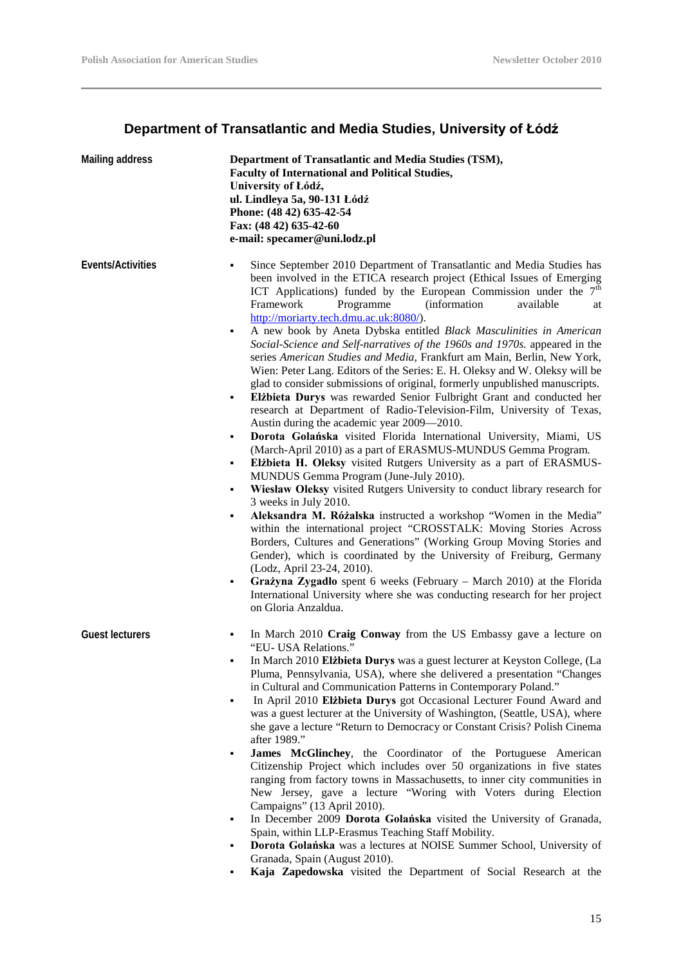### **Department of Transatlantic and Media Studies, University of Łódź**

| <b>Mailing address</b> | Department of Transatlantic and Media Studies (TSM),<br><b>Faculty of International and Political Studies,</b><br>University of Łódź,<br>ul. Lindleya 5a, 90-131 Łódź<br>Phone: (48 42) 635-42-54<br>Fax: (48 42) 635-42-60<br>e-mail: specamer@uni.lodz.pl                                                                                                                                                                                                                                                                                                                                                                                                                                                                                                                                                                                                                                                                                                                                                                                                                                                                                                                                                                                                                                                                                                                                                                                                                                                                                                                                                                                                                                                                                                                                                                                       |
|------------------------|---------------------------------------------------------------------------------------------------------------------------------------------------------------------------------------------------------------------------------------------------------------------------------------------------------------------------------------------------------------------------------------------------------------------------------------------------------------------------------------------------------------------------------------------------------------------------------------------------------------------------------------------------------------------------------------------------------------------------------------------------------------------------------------------------------------------------------------------------------------------------------------------------------------------------------------------------------------------------------------------------------------------------------------------------------------------------------------------------------------------------------------------------------------------------------------------------------------------------------------------------------------------------------------------------------------------------------------------------------------------------------------------------------------------------------------------------------------------------------------------------------------------------------------------------------------------------------------------------------------------------------------------------------------------------------------------------------------------------------------------------------------------------------------------------------------------------------------------------|
| Events/Activities      | Since September 2010 Department of Transatlantic and Media Studies has<br>٠<br>been involved in the ETICA research project (Ethical Issues of Emerging<br>ICT Applications) funded by the European Commission under the $7th$<br>Framework<br><i>(information)</i><br>Programme<br>available<br>at<br>http://moriarty.tech.dmu.ac.uk:8080/).<br>A new book by Aneta Dybska entitled Black Masculinities in American<br>٠<br>Social-Science and Self-narratives of the 1960s and 1970s. appeared in the<br>series American Studies and Media, Frankfurt am Main, Berlin, New York,<br>Wien: Peter Lang. Editors of the Series: E. H. Oleksy and W. Oleksy will be<br>glad to consider submissions of original, formerly unpublished manuscripts.<br>Elżbieta Durys was rewarded Senior Fulbright Grant and conducted her<br>٠<br>research at Department of Radio-Television-Film, University of Texas,<br>Austin during the academic year 2009—2010.<br>Dorota Golańska visited Florida International University, Miami, US<br>٠<br>(March-April 2010) as a part of ERASMUS-MUNDUS Gemma Program.<br>Elżbieta H. Oleksy visited Rutgers University as a part of ERASMUS-<br>٠<br>MUNDUS Gemma Program (June-July 2010).<br>Wiesław Oleksy visited Rutgers University to conduct library research for<br>٠<br>3 weeks in July 2010.<br>Aleksandra M. Różalska instructed a workshop "Women in the Media"<br>٠<br>within the international project "CROSSTALK: Moving Stories Across<br>Borders, Cultures and Generations" (Working Group Moving Stories and<br>Gender), which is coordinated by the University of Freiburg, Germany<br>(Lodz, April 23-24, 2010).<br>Grażyna Zygadło spent 6 weeks (February – March 2010) at the Florida<br>٠<br>International University where she was conducting research for her project<br>on Gloria Anzaldua. |
| <b>Guest lecturers</b> | In March 2010 Craig Conway from the US Embassy gave a lecture on<br>٠<br>"EU- USA Relations."<br>In March 2010 Elżbieta Durys was a guest lecturer at Keyston College, (La<br>Pluma, Pennsylvania, USA), where she delivered a presentation "Changes<br>in Cultural and Communication Patterns in Contemporary Poland."<br>In April 2010 Elibieta Durys got Occasional Lecturer Found Award and<br>$\blacksquare$<br>was a guest lecturer at the University of Washington, (Seattle, USA), where<br>she gave a lecture "Return to Democracy or Constant Crisis? Polish Cinema<br>after 1989."<br>James McGlinchey, the Coordinator of the Portuguese American<br>٠<br>Citizenship Project which includes over 50 organizations in five states<br>ranging from factory towns in Massachusetts, to inner city communities in<br>New Jersey, gave a lecture "Woring with Voters during Election<br>Campaigns" (13 April 2010).<br>In December 2009 Dorota Golańska visited the University of Granada,<br>٠<br>Spain, within LLP-Erasmus Teaching Staff Mobility.<br>Dorota Golańska was a lectures at NOISE Summer School, University of<br>Granada, Spain (August 2010).<br>Kaja Zapedowska visited the Department of Social Research at the                                                                                                                                                                                                                                                                                                                                                                                                                                                                                                                                                                                                        |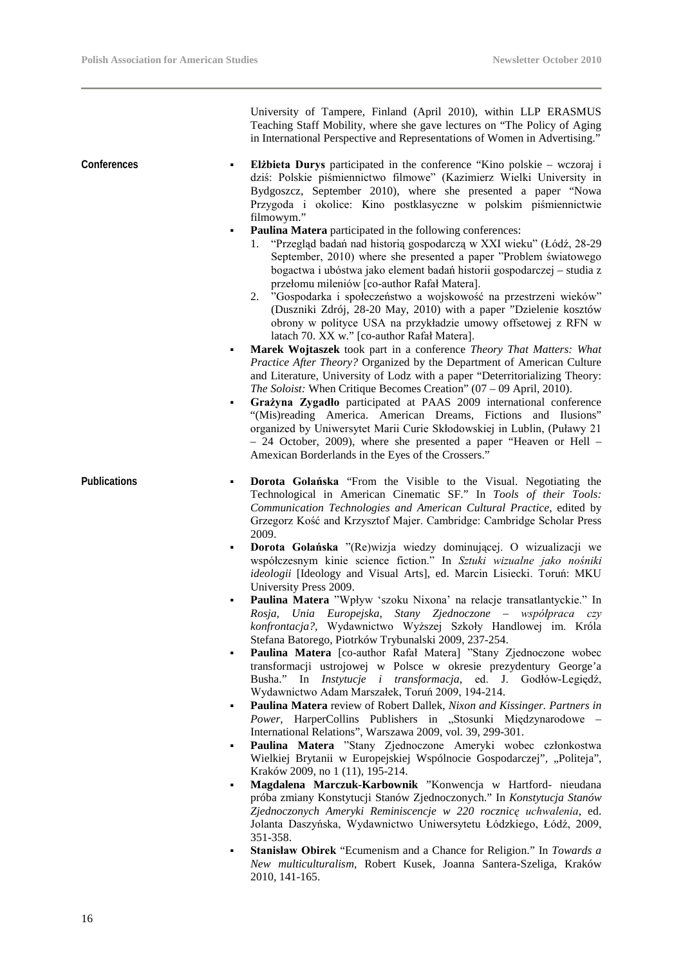University of Tampere, Finland (April 2010), within LLP ERASMUS Teaching Staff Mobility, where she gave lectures on "The Policy of Aging in International Perspective and Representations of Women in Advertising.' **Conferences Elżbieta Durys** participated in the conference "Kino polskie – wczoraj i dziś: Polskie piśmiennictwo filmowe" (Kazimierz Wielki University in Bydgoszcz, September 2010), where she presented a paper "Nowa Przygoda i okolice: Kino postklasyczne w polskim piśmiennictwie filmowym." **Paulina Matera** participated in the following conferences: 1. "Przegląd badań nad historią gospodarczą w XXI wieku" (Łódź, 28-29 September, 2010) where she presented a paper "Problem światowego bogactwa i ubóstwa jako element badań historii gospodarczej – studia z przełomu mileniów [co-author Rafał Matera]. 2. "Gospodarka i społeczeństwo a wojskowość na przestrzeni wieków" (Duszniki Zdrój, 28-20 May, 2010) with a paper "Dzielenie kosztów obrony w polityce USA na przykładzie umowy offsetowej z RFN w latach 70. XX w." [co-author Rafał Matera]. **Marek Wojtaszek** took part in a conference *Theory That Matters: What Practice After Theory?* Organized by the Department of American Culture and Literature, University of Lodz with a paper "Deterritorializing Theory: *The Soloist:* When Critique Becomes Creation" (07 – 09 April, 2010). **Grażyna Zygadło** participated at PAAS 2009 international conference "(Mis)reading America. American Dreams, Fictions and Ilusions" organized by Uniwersytet Marii Curie Skłodowskiej in Lublin, (Puławy 21 – 24 October, 2009), where she presented a paper "Heaven or Hell – Amexican Borderlands in the Eyes of the Crossers." **Publications Dorota Golańska** "From the Visible to the Visual. Negotiating the Technological in American Cinematic SF." In *Tools of their Tools: Communication Technologies and American Cultural Practice*, edited by Grzegorz Kość and Krzysztof Majer. Cambridge: Cambridge Scholar Press 2009. **Dorota Golańska** "(Re)wizja wiedzy dominującej. O wizualizacji we współczesnym kinie science fiction." In *Sztuki wizualne jako nośniki ideologii* [Ideology and Visual Arts], ed. Marcin Lisiecki. Toruń: MKU University Press 2009. **Paulina Matera** "Wpływ 'szoku Nixona' na relacje transatlantyckie." In *Rosja, Unia Europejska, Stany Zjednoczone – współpraca czy konfrontacja?,* Wydawnictwo Wyższej Szkoły Handlowej im. Króla Stefana Batorego, Piotrków Trybunalski 2009, 237-254. **Paulina Matera** [co-author Rafał Matera] "Stany Zjednoczone wobec transformacji ustrojowej w Polsce w okresie prezydentury George'a Busha." In *Instytucje i transformacja,* ed. J. Godłów-Legiędź, Wydawnictwo Adam Marszałek, Toruń 2009, 194-214. **Paulina Matera** review of Robert Dallek, *Nixon and Kissinger. Partners in*  Power, HarperCollins Publishers in "Stosunki Międzynarodowe -International Relations", Warszawa 2009, vol. 39, 299-301. **Paulina Matera** "Stany Zjednoczone Ameryki wobec członkostwa Wielkiej Brytanii w Europejskiej Wspólnocie Gospodarczej", "Politeja", Kraków 2009, no 1 (11), 195-214. **Magdalena Marczuk-Karbownik** "Konwencja w Hartford- nieudana próba zmiany Konstytucji Stanów Zjednoczonych." In *Konstytucja Stanów Zjednoczonych Ameryki Reminiscencje w 220 rocznicę uchwalenia*, ed. Jolanta Daszyńska, Wydawnictwo Uniwersytetu Łódzkiego, Łódź, 2009, 351-358. **Stanisław Obirek** "Ecumenism and a Chance for Religion." In *Towards a New multiculturalism*, Robert Kusek, Joanna Santera-Szeliga, Kraków 2010, 141-165.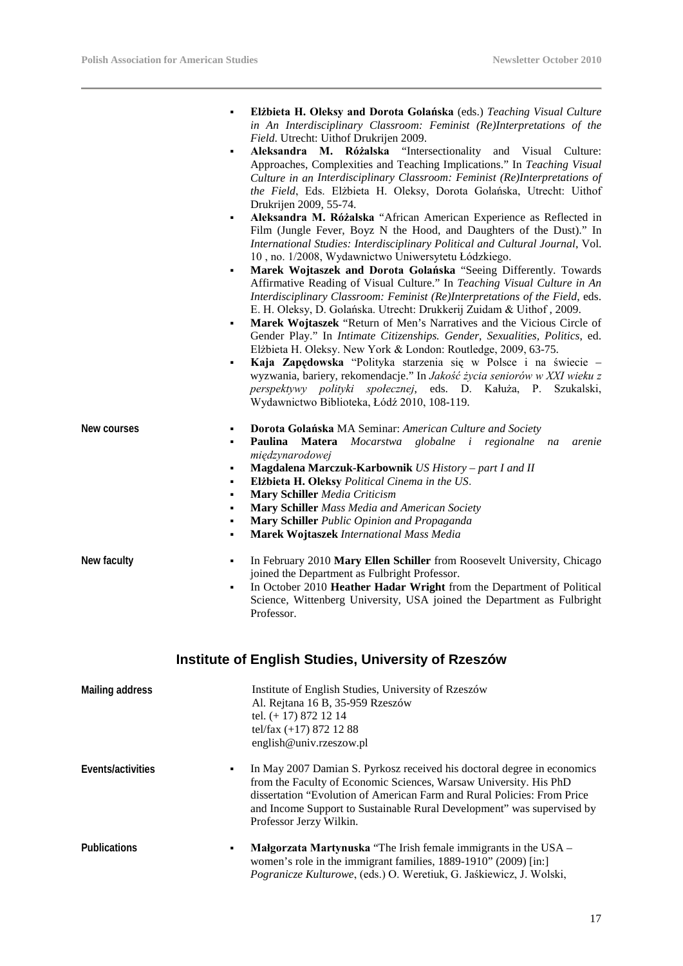|                 | Elżbieta H. Oleksy and Dorota Golańska (eds.) Teaching Visual Culture<br>٠<br>in An Interdisciplinary Classroom: Feminist (Re)Interpretations of the<br>Field. Utrecht: Uithof Drukrijen 2009.<br>Aleksandra M. Różalska "Intersectionality and Visual Culture:<br>٠<br>Approaches, Complexities and Teaching Implications." In Teaching Visual<br>Culture in an Interdisciplinary Classroom: Feminist (Re)Interpretations of<br>the Field, Eds. Elżbieta H. Oleksy, Dorota Golańska, Utrecht: Uithof<br>Drukrijen 2009, 55-74.<br>Aleksandra M. Różalska "African American Experience as Reflected in<br>٠<br>Film (Jungle Fever, Boyz N the Hood, and Daughters of the Dust)." In<br>International Studies: Interdisciplinary Political and Cultural Journal, Vol.<br>10, no. 1/2008, Wydawnictwo Uniwersytetu Łódzkiego.<br>Marek Wojtaszek and Dorota Golańska "Seeing Differently. Towards<br>٠<br>Affirmative Reading of Visual Culture." In Teaching Visual Culture in An<br>Interdisciplinary Classroom: Feminist (Re)Interpretations of the Field, eds.<br>E. H. Oleksy, D. Golańska. Utrecht: Drukkerij Zuidam & Uithof, 2009.<br>Marek Wojtaszek "Return of Men's Narratives and the Vicious Circle of<br>٠<br>Gender Play." In Intimate Citizenships. Gender, Sexualities, Politics, ed.<br>Elżbieta H. Oleksy. New York & London: Routledge, 2009, 63-75.<br>Kaja Zapędowska "Polityka starzenia się w Polsce i na świecie –<br>wyzwania, bariery, rekomendacje." In Jakość życia seniorów w XXI wieku z<br>perspektywy polityki społecznej, eds. D. Kałuża, P.<br>Szukalski,<br>Wydawnictwo Biblioteka, Łódź 2010, 108-119. |
|-----------------|-------------------------------------------------------------------------------------------------------------------------------------------------------------------------------------------------------------------------------------------------------------------------------------------------------------------------------------------------------------------------------------------------------------------------------------------------------------------------------------------------------------------------------------------------------------------------------------------------------------------------------------------------------------------------------------------------------------------------------------------------------------------------------------------------------------------------------------------------------------------------------------------------------------------------------------------------------------------------------------------------------------------------------------------------------------------------------------------------------------------------------------------------------------------------------------------------------------------------------------------------------------------------------------------------------------------------------------------------------------------------------------------------------------------------------------------------------------------------------------------------------------------------------------------------------------------------------------------------------------------------------------------|
| New courses     | Dorota Golańska MA Seminar: American Culture and Society<br>٠<br>Paulina Matera Mocarstwa globalne i regionalne na<br>٠<br>arenie<br>międzynarodowej<br>Magdalena Marczuk-Karbownik US History - part I and II<br>٠<br>Elżbieta H. Oleksy Political Cinema in the US.<br>٠<br><b>Mary Schiller</b> Media Criticism<br>٠<br>Mary Schiller Mass Media and American Society<br>٠<br>Mary Schiller Public Opinion and Propaganda<br>٠<br>Marek Wojtaszek International Mass Media<br>٠                                                                                                                                                                                                                                                                                                                                                                                                                                                                                                                                                                                                                                                                                                                                                                                                                                                                                                                                                                                                                                                                                                                                                        |
| New faculty     | In February 2010 Mary Ellen Schiller from Roosevelt University, Chicago<br>٠<br>joined the Department as Fulbright Professor.<br>In October 2010 Heather Hadar Wright from the Department of Political<br>٠<br>Science, Wittenberg University, USA joined the Department as Fulbright<br>Professor.                                                                                                                                                                                                                                                                                                                                                                                                                                                                                                                                                                                                                                                                                                                                                                                                                                                                                                                                                                                                                                                                                                                                                                                                                                                                                                                                       |
|                 | Institute of English Studies, University of Rzeszów                                                                                                                                                                                                                                                                                                                                                                                                                                                                                                                                                                                                                                                                                                                                                                                                                                                                                                                                                                                                                                                                                                                                                                                                                                                                                                                                                                                                                                                                                                                                                                                       |
| Mailing address | Institute of English Studies, University of Rzeszów<br>Al. Rejtana 16 B, 35-959 Rzeszów<br>tel. (+ 17) 872 12 14<br>tel/fax (+17) 872 12 88<br>english@univ.rzeszow.pl                                                                                                                                                                                                                                                                                                                                                                                                                                                                                                                                                                                                                                                                                                                                                                                                                                                                                                                                                                                                                                                                                                                                                                                                                                                                                                                                                                                                                                                                    |

- **Events/activities** In May 2007 Damian S. Pyrkosz received his doctoral degree in economics from the Faculty of Economic Sciences, Warsaw University. His PhD dissertation "Evolution of American Farm and Rural Policies: From Price and Income Support to Sustainable Rural Development" was supervised by Professor Jerzy Wilkin.
- **Publications Malgorzata Martynuska** "The Irish female immigrants in the USA women's role in the immigrant families, 1889-1910" (2009) [in:] *Pogranicze Kulturowe*, (eds.) O. Weretiuk, G. Jaśkiewicz, J. Wolski,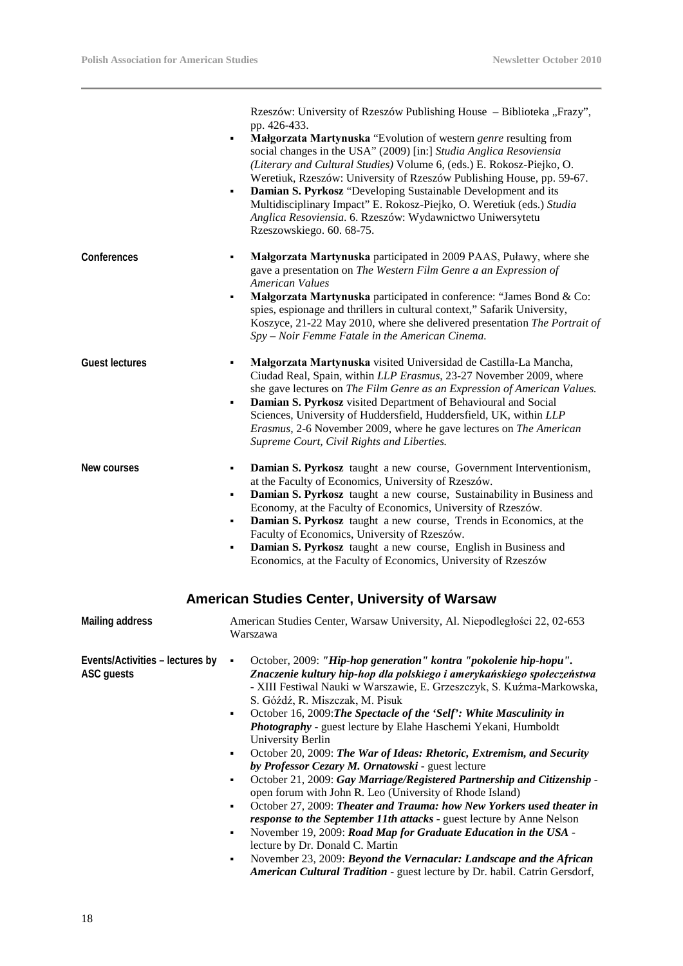L,

|                                               | Rzeszów: University of Rzeszów Publishing House - Biblioteka "Frazy",<br>pp. 426-433.<br>Małgorzata Martynuska "Evolution of western genre resulting from<br>٠<br>social changes in the USA" (2009) [in:] Studia Anglica Resoviensia<br>(Literary and Cultural Studies) Volume 6, (eds.) E. Rokosz-Piejko, O.<br>Weretiuk, Rzeszów: University of Rzeszów Publishing House, pp. 59-67.<br>Damian S. Pyrkosz "Developing Sustainable Development and its<br>٠<br>Multidisciplinary Impact" E. Rokosz-Piejko, O. Weretiuk (eds.) Studia<br>Anglica Resoviensia. 6. Rzeszów: Wydawnictwo Uniwersytetu<br>Rzeszowskiego. 60. 68-75.                                                                                                                                                                                                                                                                                                                                                                                                                                                                                                           |
|-----------------------------------------------|-------------------------------------------------------------------------------------------------------------------------------------------------------------------------------------------------------------------------------------------------------------------------------------------------------------------------------------------------------------------------------------------------------------------------------------------------------------------------------------------------------------------------------------------------------------------------------------------------------------------------------------------------------------------------------------------------------------------------------------------------------------------------------------------------------------------------------------------------------------------------------------------------------------------------------------------------------------------------------------------------------------------------------------------------------------------------------------------------------------------------------------------|
| Conferences                                   | Małgorzata Martynuska participated in 2009 PAAS, Puławy, where she<br>٠<br>gave a presentation on The Western Film Genre a an Expression of<br>American Values<br>Małgorzata Martynuska participated in conference: "James Bond & Co:<br>٠<br>spies, espionage and thrillers in cultural context," Safarik University,<br>Koszyce, 21-22 May 2010, where she delivered presentation The Portrait of<br>Spy – Noir Femme Fatale in the American Cinema.                                                                                                                                                                                                                                                                                                                                                                                                                                                                                                                                                                                                                                                                                    |
| <b>Guest lectures</b>                         | Małgorzata Martynuska visited Universidad de Castilla-La Mancha,<br>٠<br>Ciudad Real, Spain, within LLP Erasmus, 23-27 November 2009, where<br>she gave lectures on The Film Genre as an Expression of American Values.<br>Damian S. Pyrkosz visited Department of Behavioural and Social<br>٠<br>Sciences, University of Huddersfield, Huddersfield, UK, within LLP<br>Erasmus, 2-6 November 2009, where he gave lectures on The American<br>Supreme Court, Civil Rights and Liberties.                                                                                                                                                                                                                                                                                                                                                                                                                                                                                                                                                                                                                                                  |
| New courses                                   | Damian S. Pyrkosz taught a new course, Government Interventionism,<br>٠<br>at the Faculty of Economics, University of Rzeszów.<br>Damian S. Pyrkosz taught a new course, Sustainability in Business and<br>٠<br>Economy, at the Faculty of Economics, University of Rzeszów.<br>Damian S. Pyrkosz taught a new course, Trends in Economics, at the<br>٠<br>Faculty of Economics, University of Rzeszów.<br>Damian S. Pyrkosz taught a new course, English in Business and<br>٠<br>Economics, at the Faculty of Economics, University of Rzeszów                                                                                                                                                                                                                                                                                                                                                                                                                                                                                                                                                                                           |
|                                               | <b>American Studies Center, University of Warsaw</b>                                                                                                                                                                                                                                                                                                                                                                                                                                                                                                                                                                                                                                                                                                                                                                                                                                                                                                                                                                                                                                                                                      |
| <b>Mailing address</b>                        | American Studies Center, Warsaw University, Al. Niepodległości 22, 02-653<br>Warszawa                                                                                                                                                                                                                                                                                                                                                                                                                                                                                                                                                                                                                                                                                                                                                                                                                                                                                                                                                                                                                                                     |
| Events/Activities - lectures by<br>ASC guests | October, 2009: "Hip-hop generation" kontra "pokolenie hip-hopu".<br>٠<br>Znaczenie kultury hip-hop dla polskiego i amerykańskiego społeczeństwa<br>- XIII Festiwal Nauki w Warszawie, E. Grzeszczyk, S. Kuźma-Markowska,<br>S. Góźdź, R. Miszczak, M. Pisuk<br>October 16, 2009: The Spectacle of the 'Self': White Masculinity in<br>٠<br>Photography - guest lecture by Elahe Haschemi Yekani, Humboldt<br>University Berlin<br>October 20, 2009: The War of Ideas: Rhetoric, Extremism, and Security<br>٠<br>by Professor Cezary M. Ornatowski - guest lecture<br>October 21, 2009: Gay Marriage/Registered Partnership and Citizenship -<br>٠<br>open forum with John R. Leo (University of Rhode Island)<br>October 27, 2009: Theater and Trauma: how New Yorkers used theater in<br>٠<br>response to the September 11th attacks - guest lecture by Anne Nelson<br>November 19, 2009: Road Map for Graduate Education in the USA -<br>٠<br>lecture by Dr. Donald C. Martin<br>November 23, 2009: Beyond the Vernacular: Landscape and the African<br>٠<br>American Cultural Tradition - guest lecture by Dr. habil. Catrin Gersdorf, |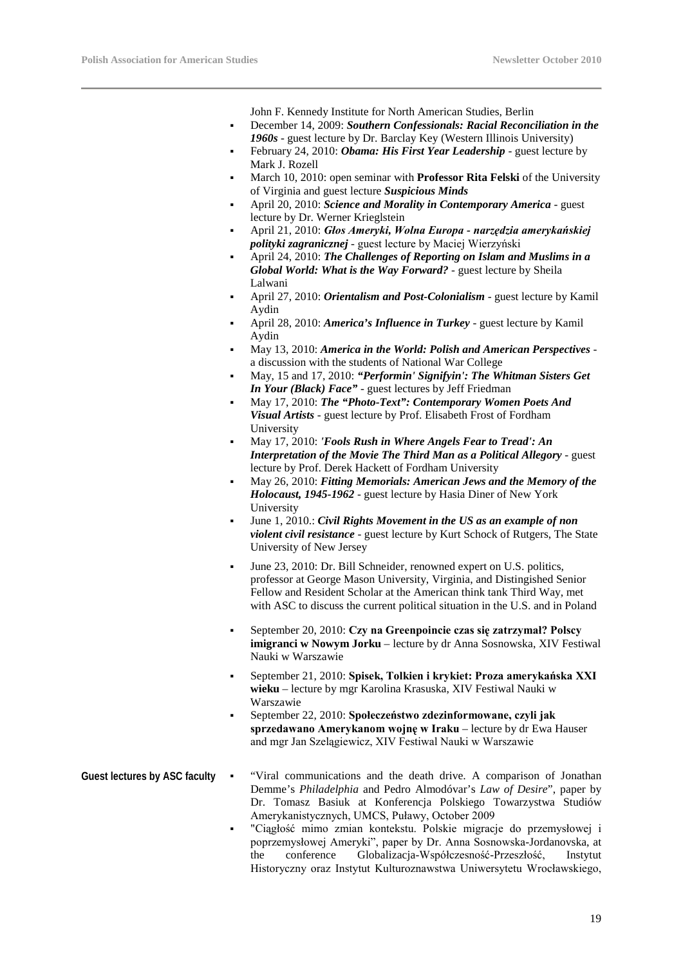John F. Kennedy Institute for North American Studies, Berlin

- December 14, 2009: *Southern Confessionals: Racial Reconciliation in the 1960s* - guest lecture by Dr. Barclay Key (Western Illinois University)
- February 24, 2010: *Obama: His First Year Leadership*  guest lecture by Mark J. Rozell
- March 10, 2010: open seminar with **Professor Rita Felski** of the University of Virginia and guest lecture *Suspicious Minds*
- April 20, 2010: *Science and Morality in Contemporary America* guest lecture by Dr. Werner Krieglstein
- April 21, 2010: *Głos Ameryki, Wolna Europa - narzędzia amerykańskiej polityki zagranicznej* - guest lecture by Maciej Wierzyński
- April 24, 2010: *The Challenges of Reporting on Islam and Muslims in a Global World: What is the Way Forward?* - guest lecture by Sheila Lalwani
- April 27, 2010: *Orientalism and Post-Colonialism* guest lecture by Kamil Aydin
- April 28, 2010: *America's Influence in Turkey* guest lecture by Kamil Aydin
- May 13, 2010: *America in the World: Polish and American Perspectives* a discussion with the students of National War College
- May, 15 and 17, 2010: *"Performin' Signifyin': The Whitman Sisters Get In Your (Black) Face"* - guest lectures by Jeff Friedman
- May 17, 2010: *The "Photo-Text": Contemporary Women Poets And Visual Artists* - guest lecture by Prof. Elisabeth Frost of Fordham University
- May 17, 2010: *'Fools Rush in Where Angels Fear to Tread': An Interpretation of the Movie The Third Man as a Political Allegory* - guest lecture by Prof. Derek Hackett of Fordham University
- May 26, 2010: *Fitting Memorials: American Jews and the Memory of the Holocaust, 1945-1962* - guest lecture by Hasia Diner of New York University
- June 1, 2010.: *Civil Rights Movement in the US as an example of non violent civil resistance* - guest lecture by Kurt Schock of Rutgers, The State University of New Jersey
- June 23, 2010: Dr. Bill Schneider, renowned expert on U.S. politics, professor at George Mason University, Virginia, and Distingished Senior Fellow and Resident Scholar at the American think tank Third Way, met with ASC to discuss the current political situation in the U.S. and in Poland
- September 20, 2010: **Czy na Greenpoincie czas się zatrzymał? Polscy imigranci w Nowym Jorku** – lecture by dr Anna Sosnowska, XIV Festiwal Nauki w Warszawie
- September 21, 2010: **Spisek, Tolkien i krykiet: Proza amerykańska XXI wieku** – lecture by mgr Karolina Krasuska, XIV Festiwal Nauki w Warszawie
- September 22, 2010: **Społeczeństwo zdezinformowane, czyli jak sprzedawano Amerykanom wojnę w Iraku** – lecture by dr Ewa Hauser and mgr Jan Szelągiewicz, XIV Festiwal Nauki w Warszawie
- **Guest lectures by ASC faculty** "Viral communications and the death drive. A comparison of Jonathan Demme's *Philadelphia* and Pedro Almodóvar's *Law of Desire*", paper by Dr. Tomasz Basiuk at Konferencja Polskiego Towarzystwa Studiów Amerykanistycznych, UMCS, Puławy, October 2009
	- "Ciągłość mimo zmian kontekstu. Polskie migracje do przemysłowej i poprzemysłowej Ameryki", paper by Dr. Anna Sosnowska-Jordanovska, at the conference Globalizacja-Współczesność-Przeszłość, Instytut Historyczny oraz Instytut Kulturoznawstwa Uniwersytetu Wrocławskiego,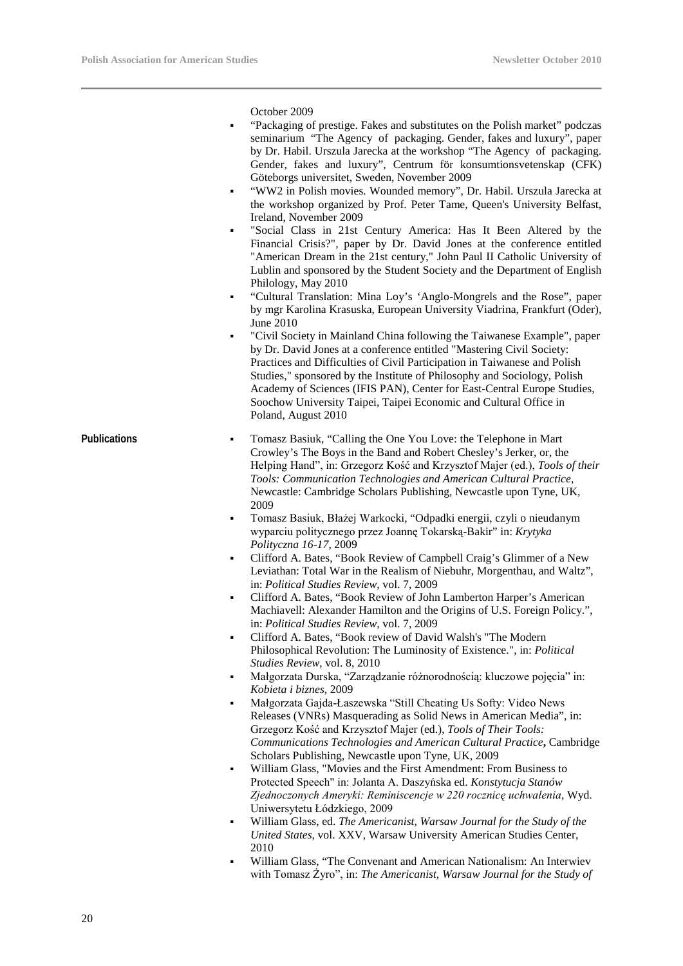October 2009

- "Packaging of prestige. Fakes and substitutes on the Polish market" podczas seminarium "The Agency of packaging. Gender, fakes and luxury", paper by Dr. Habil. Urszula Jarecka at the workshop "The Agency of packaging. Gender, fakes and luxury", Centrum för konsumtionsvetenskap (CFK) Göteborgs universitet, Sweden, November 2009
- "WW2 in Polish movies. Wounded memory", Dr. Habil. Urszula Jarecka at the workshop organized by Prof. Peter Tame, Queen's University Belfast, Ireland, November 2009
- "Social Class in 21st Century America: Has It Been Altered by the Financial Crisis?", paper by Dr. David Jones at the conference entitled "American Dream in the 21st century," John Paul II Catholic University of Lublin and sponsored by the Student Society and the Department of English Philology, May 2010
- "Cultural Translation: Mina Loy's 'Anglo-Mongrels and the Rose", paper by mgr Karolina Krasuska, European University Viadrina, Frankfurt (Oder), June 2010
- "Civil Society in Mainland China following the Taiwanese Example", paper by Dr. David Jones at a conference entitled "Mastering Civil Society: Practices and Difficulties of Civil Participation in Taiwanese and Polish Studies," sponsored by the Institute of Philosophy and Sociology, Polish Academy of Sciences (IFIS PAN), Center for East-Central Europe Studies, Soochow University Taipei, Taipei Economic and Cultural Office in Poland, August 2010
- **Publications Tomasz Basiuk, "Calling the One You Love: the Telephone in Mart** Crowley's The Boys in the Band and Robert Chesley's Jerker, or, the Helping Hand", in: Grzegorz Kość and Krzysztof Majer (ed.), *Tools of their Tools: Communication Technologies and American Cultural Practice*, Newcastle: Cambridge Scholars Publishing, Newcastle upon Tyne, UK, 2009
	- Tomasz Basiuk, Błażej Warkocki, "Odpadki energii, czyli o nieudanym wyparciu politycznego przez Joannę Tokarską-Bakir" in: *Krytyka Polityczna 16-17*, 2009
	- Clifford A. Bates, "Book Review of Campbell Craig's Glimmer of a New Leviathan: Total War in the Realism of Niebuhr, Morgenthau, and Waltz", in: *Political Studies Review*, vol. 7, 2009
	- Clifford A. Bates, "Book Review of John Lamberton Harper's American Machiavell: Alexander Hamilton and the Origins of U.S. Foreign Policy.", in: *Political Studies Review*, vol. 7, 2009
	- Clifford A. Bates, "Book review of David Walsh's "The Modern Philosophical Revolution: The Luminosity of Existence.", in: *Political Studies Review*, vol. 8, 2010
	- Małgorzata Durska, "Zarządzanie różnorodnością: kluczowe pojęcia" in: *Kobieta i biznes*, 2009
	- Małgorzata Gajda-Łaszewska "Still Cheating Us Softy: Video News Releases (VNRs) Masquerading as Solid News in American Media", in: Grzegorz Kość and Krzysztof Majer (ed.), *Tools of Their Tools: Communications Technologies and American Cultural Practice***,** Cambridge Scholars Publishing, Newcastle upon Tyne, UK, 2009
	- William Glass, "Movies and the First Amendment: From Business to Protected Speech" in: Jolanta A. Daszyńska ed. *Konstytucja Stanów Zjednoczonych Ameryki: Reminiscencje w 220 rocznicę uchwalenia*, Wyd. Uniwersytetu Łódzkiego, 2009
	- William Glass, ed. *The Americanist, Warsaw Journal for the Study of the United States*, vol. XXV, Warsaw University American Studies Center, 2010
	- William Glass, "The Convenant and American Nationalism: An Interwiev with Tomasz Żyro", in: *The Americanist, Warsaw Journal for the Study of*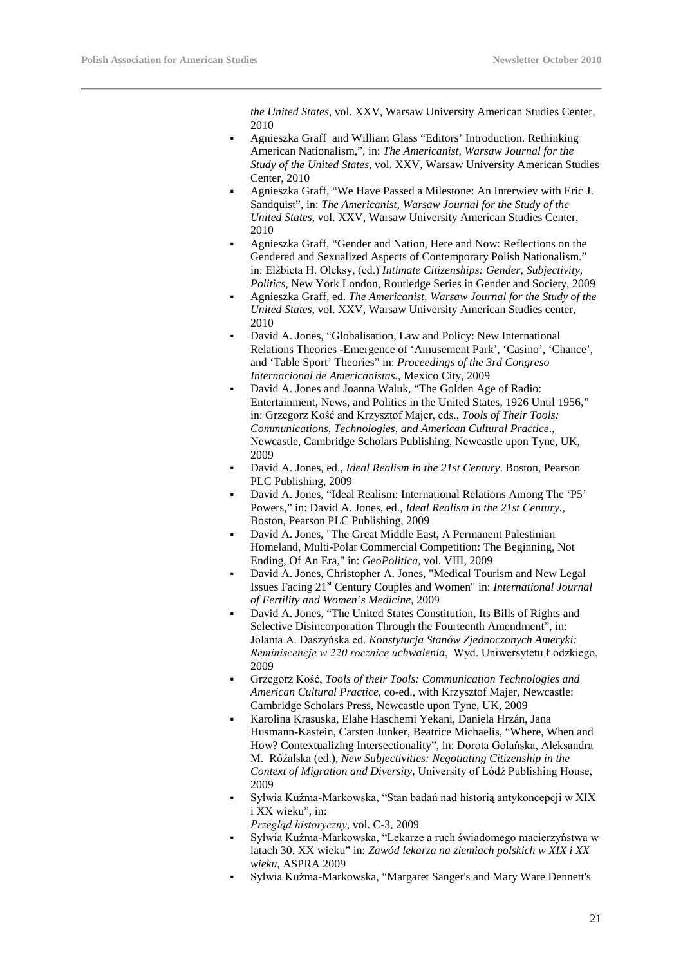*the United States*, vol. XXV, Warsaw University American Studies Center, 2010

- Agnieszka Graff and William Glass "Editors' Introduction. Rethinking American Nationalism,", in: *The Americanist, Warsaw Journal for the Study of the United States*, vol. XXV, Warsaw University American Studies Center, 2010
- Agnieszka Graff, "We Have Passed a Milestone: An Interwiev with Eric J. Sandquist", in: *The Americanist, Warsaw Journal for the Study of the United States*, vol. XXV, Warsaw University American Studies Center, 2010
- Agnieszka Graff, "Gender and Nation, Here and Now: Reflections on the Gendered and Sexualized Aspects of Contemporary Polish Nationalism." in: Elżbieta H. Oleksy, (ed.) *Intimate Citizenships: Gender, Subjectivity, Politics*, New York London, Routledge Series in Gender and Society, 2009
- Agnieszka Graff, ed. *The Americanist, Warsaw Journal for the Study of the United States*, vol. XXV, Warsaw University American Studies center, 2010
- David A. Jones, "Globalisation, Law and Policy: New International Relations Theories -Emergence of 'Amusement Park', 'Casino', 'Chance', and 'Table Sport' Theories" in: *Proceedings of the 3rd Congreso Internacional de Americanistas.*, Mexico City, 2009
- David A. Jones and Joanna Waluk, "The Golden Age of Radio: Entertainment, News, and Politics in the United States, 1926 Until 1956," in: Grzegorz Kość and Krzysztof Majer, eds., *Tools of Their Tools: Communications, Technologies, and American Cultural Practice*., Newcastle, Cambridge Scholars Publishing, Newcastle upon Tyne, UK, 2009
- David A. Jones, ed., *Ideal Realism in the 21st Century*. Boston, Pearson PLC Publishing, 2009
- David A. Jones, "Ideal Realism: International Relations Among The 'P5' Powers," in: David A. Jones, ed., *Ideal Realism in the 21st Century.*, Boston, Pearson PLC Publishing, 2009
- David A. Jones, "The Great Middle East, A Permanent Palestinian Homeland, Multi-Polar Commercial Competition: The Beginning, Not Ending, Of An Era," in: *GeoPolitica*, vol. VIII, 2009
- David A. Jones, Christopher A. Jones, "Medical Tourism and New Legal Issues Facing 21st Century Couples and Women" in: *International Journal of Fertility and Women's Medicine*, 2009
- David A. Jones, "The United States Constitution, Its Bills of Rights and Selective Disincorporation Through the Fourteenth Amendment", in: Jolanta A. Daszyńska ed. *Konstytucja Stanów Zjednoczonych Ameryki: Reminiscencje w 220 rocznicę uchwalenia*, Wyd. Uniwersytetu Łódzkiego, 2009
- Grzegorz Kość, *Tools of their Tools: Communication Technologies and American Cultural Practice*, co-ed., with Krzysztof Majer, Newcastle: Cambridge Scholars Press, Newcastle upon Tyne, UK, 2009
- Karolina Krasuska, Elahe Haschemi Yekani, Daniela Hrzán, Jana Husmann-Kastein, Carsten Junker, Beatrice Michaelis, "Where, When and How? Contextualizing Intersectionality", in: Dorota Golańska, Aleksandra M. Różalska (ed.), *New Subjectivities: Negotiating Citizenship in the Context of Migration and Diversity*, University of Łódź Publishing House, 2009
- Sylwia Kuźma-Markowska, "Stan badań nad historią antykoncepcji w XIX i XX wieku", in:
	- *Przegląd historyczny*, vol. C-3, 2009
- Sylwia Kuźma-Markowska, "Lekarze a ruch świadomego macierzyństwa w latach 30. XX wieku" in: *Zawód lekarza na ziemiach polskich w XIX i XX wieku*, ASPRA 2009
- Sylwia Kuźma-Markowska, "Margaret Sanger's and Mary Ware Dennett's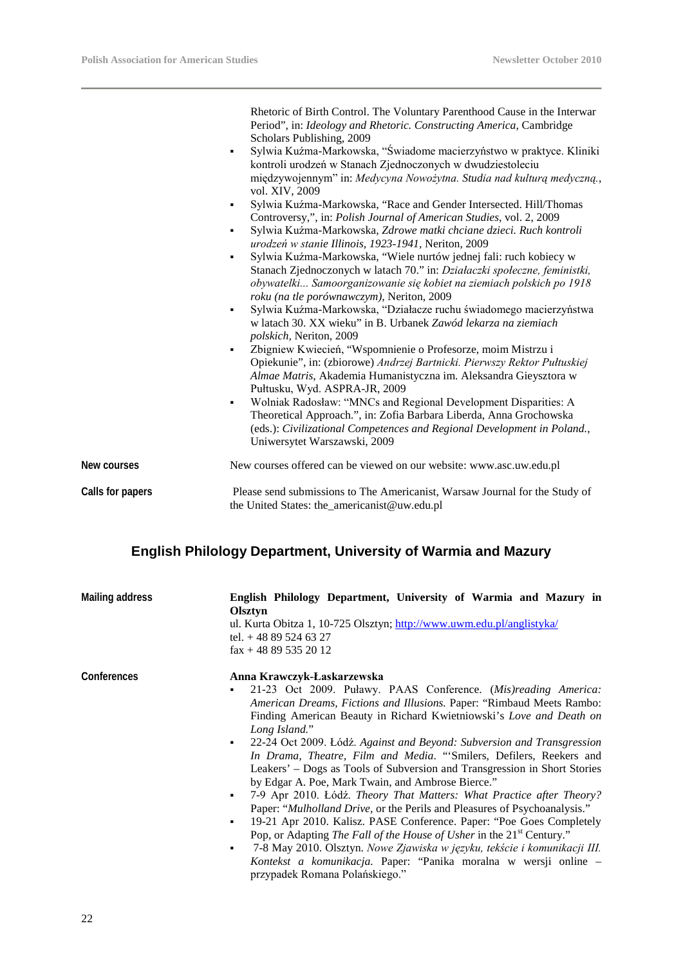|                  | Rhetoric of Birth Control. The Voluntary Parenthood Cause in the Interwar<br>Period", in: Ideology and Rhetoric. Constructing America, Cambridge<br>Scholars Publishing, 2009<br>Sylwia Kuźma-Markowska, "Świadome macierzyństwo w praktyce. Kliniki<br>٠<br>kontroli urodzeń w Stanach Zjednoczonych w dwudziestoleciu<br>międzywojennym" in: Medycyna Nowożytna. Studia nad kulturą medyczną.,<br>vol. XIV, 2009<br>Sylwia Kuźma-Markowska, "Race and Gender Intersected. Hill/Thomas<br>٠<br>Controversy,", in: Polish Journal of American Studies, vol. 2, 2009<br>Sylwia Kuźma-Markowska, Zdrowe matki chciane dzieci. Ruch kontroli<br>٠<br>urodzeń w stanie Illinois, 1923-1941, Neriton, 2009<br>Sylwia Kuźma-Markowska, "Wiele nurtów jednej fali: ruch kobiecy w<br>٠<br>Stanach Zjednoczonych w latach 70." in: Działaczki społeczne, feministki,<br>obywatelki Samoorganizowanie się kobiet na ziemiach polskich po 1918<br>roku (na tle porównawczym), Neriton, 2009<br>Sylwia Kuźma-Markowska, "Działacze ruchu świadomego macierzyństwa<br>٠<br>w latach 30. XX wieku" in B. Urbanek Zawód lekarza na ziemiach<br>polskich, Neriton, 2009<br>Zbigniew Kwiecień, "Wspomnienie o Profesorze, moim Mistrzu i<br>٠<br>Opiekunie", in: (zbiorowe) Andrzej Bartnicki. Pierwszy Rektor Pułtuskiej<br>Almae Matris, Akademia Humanistyczna im. Aleksandra Gieysztora w<br>Pułtusku, Wyd. ASPRA-JR, 2009<br>Wolniak Radosław: "MNCs and Regional Development Disparities: A<br>٠<br>Theoretical Approach.", in: Zofia Barbara Liberda, Anna Grochowska<br>(eds.): Civilizational Competences and Regional Development in Poland.,<br>Uniwersytet Warszawski, 2009 |  |
|------------------|-------------------------------------------------------------------------------------------------------------------------------------------------------------------------------------------------------------------------------------------------------------------------------------------------------------------------------------------------------------------------------------------------------------------------------------------------------------------------------------------------------------------------------------------------------------------------------------------------------------------------------------------------------------------------------------------------------------------------------------------------------------------------------------------------------------------------------------------------------------------------------------------------------------------------------------------------------------------------------------------------------------------------------------------------------------------------------------------------------------------------------------------------------------------------------------------------------------------------------------------------------------------------------------------------------------------------------------------------------------------------------------------------------------------------------------------------------------------------------------------------------------------------------------------------------------------------------------------------------------------------------------------------------------------------|--|
| New courses      | New courses offered can be viewed on our website: www.asc.uw.edu.pl                                                                                                                                                                                                                                                                                                                                                                                                                                                                                                                                                                                                                                                                                                                                                                                                                                                                                                                                                                                                                                                                                                                                                                                                                                                                                                                                                                                                                                                                                                                                                                                                     |  |
| Calls for papers | Please send submissions to The Americanist, Warsaw Journal for the Study of<br>the United States: the_americanist@uw.edu.pl                                                                                                                                                                                                                                                                                                                                                                                                                                                                                                                                                                                                                                                                                                                                                                                                                                                                                                                                                                                                                                                                                                                                                                                                                                                                                                                                                                                                                                                                                                                                             |  |

### **English Philology Department, University of Warmia and Mazury**

| <b>Mailing address</b> | English Philology Department, University of Warmia and Mazury in<br><b>Olsztvn</b><br>ul. Kurta Obitza 1, 10-725 Olsztyn; http://www.uwm.edu.pl/anglistyka/<br>tel. $+48895246327$<br>$\text{fax} + 48895352012$                                                                                                                                                                                                                                                                                                                                                                                                                                                                                                                                                                                                                                                                                                                                                                                                                                                                                         |
|------------------------|----------------------------------------------------------------------------------------------------------------------------------------------------------------------------------------------------------------------------------------------------------------------------------------------------------------------------------------------------------------------------------------------------------------------------------------------------------------------------------------------------------------------------------------------------------------------------------------------------------------------------------------------------------------------------------------------------------------------------------------------------------------------------------------------------------------------------------------------------------------------------------------------------------------------------------------------------------------------------------------------------------------------------------------------------------------------------------------------------------|
| Conferences            | Anna Krawczyk-Łaskarzewska<br>21-23 Oct 2009. Puławy. PAAS Conference. (Mis)reading America:<br>٠<br>American Dreams, Fictions and Illusions. Paper: "Rimbaud Meets Rambo:<br>Finding American Beauty in Richard Kwietniowski's Love and Death on<br>Long Island."<br>22-24 Oct 2009. Łódź, Against and Beyond: Subversion and Transgression<br>$\mathbf{R}^{\text{max}}$<br>In Drama, Theatre, Film and Media. "Smilers, Defilers, Reekers and<br>Leakers' – Dogs as Tools of Subversion and Transgression in Short Stories<br>by Edgar A. Poe, Mark Twain, and Ambrose Bierce."<br>7-9 Apr 2010. Łódź. Theory That Matters: What Practice after Theory?<br>$\blacksquare$<br>Paper: "Mulholland Drive, or the Perils and Pleasures of Psychoanalysis."<br>19-21 Apr 2010. Kalisz. PASE Conference. Paper: "Poe Goes Completely<br>٠<br>Pop, or Adapting The Fall of the House of Usher in the $21st$ Century."<br>7-8 May 2010. Olsztyn. Nowe Zjawiska w języku, tekście i komunikacji III.<br>٠<br>Kontekst a komunikacja. Paper: "Panika moralna w wersji online –<br>przypadek Romana Polańskiego." |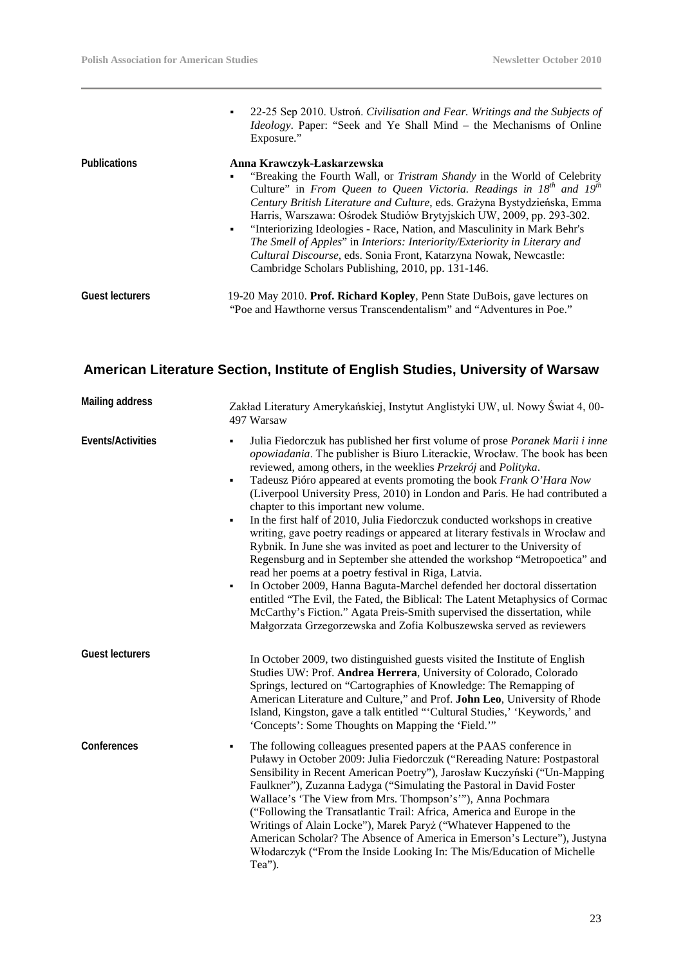|                        | • 22-25 Sep 2010. Ustroń. Civilisation and Fear. Writings and the Subjects of<br><i>Ideology</i> . Paper: "Seek and Ye Shall Mind – the Mechanisms of Online<br>Exposure."                                                                                                                                                                                                                                                                                                                                                                                                                                                                               |
|------------------------|----------------------------------------------------------------------------------------------------------------------------------------------------------------------------------------------------------------------------------------------------------------------------------------------------------------------------------------------------------------------------------------------------------------------------------------------------------------------------------------------------------------------------------------------------------------------------------------------------------------------------------------------------------|
| <b>Publications</b>    | Anna Krawczyk-Łaskarzewska<br>"Breaking the Fourth Wall, or <i>Tristram Shandy</i> in the World of Celebrity<br>٠<br>Culture" in From Queen to Queen Victoria. Readings in $18^{th}$ and $19^{th}$<br>Century British Literature and Culture, eds. Grazyna Bystydzieńska, Emma<br>Harris, Warszawa: Ośrodek Studiów Brytyjskich UW, 2009, pp. 293-302.<br>"Interiorizing Ideologies - Race, Nation, and Masculinity in Mark Behr's<br>۰.<br>The Smell of Apples" in Interiors: Interiority/Exteriority in Literary and<br><i>Cultural Discourse</i> , eds. Sonia Front, Katarzyna Nowak, Newcastle:<br>Cambridge Scholars Publishing, 2010, pp. 131-146. |
| <b>Guest lecturers</b> | 19-20 May 2010. Prof. Richard Kopley, Penn State DuBois, gave lectures on<br>"Poe and Hawthorne versus Transcendentalism" and "Adventures in Poe."                                                                                                                                                                                                                                                                                                                                                                                                                                                                                                       |

### **American Literature Section, Institute of English Studies, University of Warsaw**

| <b>Mailing address</b> | Zakład Literatury Amerykańskiej, Instytut Anglistyki UW, ul. Nowy Świat 4, 00-<br>497 Warsaw                                                                                                                                                                                                                                                                                                                                                                                                                                                                                                                                                                                                                                                                                                                                                                                                                                                                                                                                                                                                                                                                                    |
|------------------------|---------------------------------------------------------------------------------------------------------------------------------------------------------------------------------------------------------------------------------------------------------------------------------------------------------------------------------------------------------------------------------------------------------------------------------------------------------------------------------------------------------------------------------------------------------------------------------------------------------------------------------------------------------------------------------------------------------------------------------------------------------------------------------------------------------------------------------------------------------------------------------------------------------------------------------------------------------------------------------------------------------------------------------------------------------------------------------------------------------------------------------------------------------------------------------|
| Events/Activities      | Julia Fiedorczuk has published her first volume of prose Poranek Marii i inne<br>$\blacksquare$<br>opowiadania. The publisher is Biuro Literackie, Wrocław. The book has been<br>reviewed, among others, in the weeklies Przekrój and Polityka.<br>Tadeusz Pióro appeared at events promoting the book Frank O'Hara Now<br>٠<br>(Liverpool University Press, 2010) in London and Paris. He had contributed a<br>chapter to this important new volume.<br>In the first half of 2010, Julia Fiedorczuk conducted workshops in creative<br>٠<br>writing, gave poetry readings or appeared at literary festivals in Wrocław and<br>Rybnik. In June she was invited as poet and lecturer to the University of<br>Regensburg and in September she attended the workshop "Metropoetica" and<br>read her poems at a poetry festival in Riga, Latvia.<br>In October 2009, Hanna Baguta-Marchel defended her doctoral dissertation<br>$\blacksquare$<br>entitled "The Evil, the Fated, the Biblical: The Latent Metaphysics of Cormac<br>McCarthy's Fiction." Agata Preis-Smith supervised the dissertation, while<br>Małgorzata Grzegorzewska and Zofia Kolbuszewska served as reviewers |
| <b>Guest lecturers</b> | In October 2009, two distinguished guests visited the Institute of English<br>Studies UW: Prof. Andrea Herrera, University of Colorado, Colorado<br>Springs, lectured on "Cartographies of Knowledge: The Remapping of<br>American Literature and Culture," and Prof. John Leo, University of Rhode<br>Island, Kingston, gave a talk entitled "'Cultural Studies,' 'Keywords,' and<br>'Concepts': Some Thoughts on Mapping the 'Field.'"                                                                                                                                                                                                                                                                                                                                                                                                                                                                                                                                                                                                                                                                                                                                        |
| Conferences            | The following colleagues presented papers at the PAAS conference in<br>٠<br>Puławy in October 2009: Julia Fiedorczuk ("Rereading Nature: Postpastoral<br>Sensibility in Recent American Poetry"), Jarosław Kuczyński ("Un-Mapping<br>Faulkner"), Zuzanna Ładyga ("Simulating the Pastoral in David Foster<br>Wallace's 'The View from Mrs. Thompson's"'), Anna Pochmara<br>("Following the Transatlantic Trail: Africa, America and Europe in the<br>Writings of Alain Locke"), Marek Paryż ("Whatever Happened to the<br>American Scholar? The Absence of America in Emerson's Lecture"), Justyna<br>Włodarczyk ("From the Inside Looking In: The Mis/Education of Michelle<br>Tea").                                                                                                                                                                                                                                                                                                                                                                                                                                                                                          |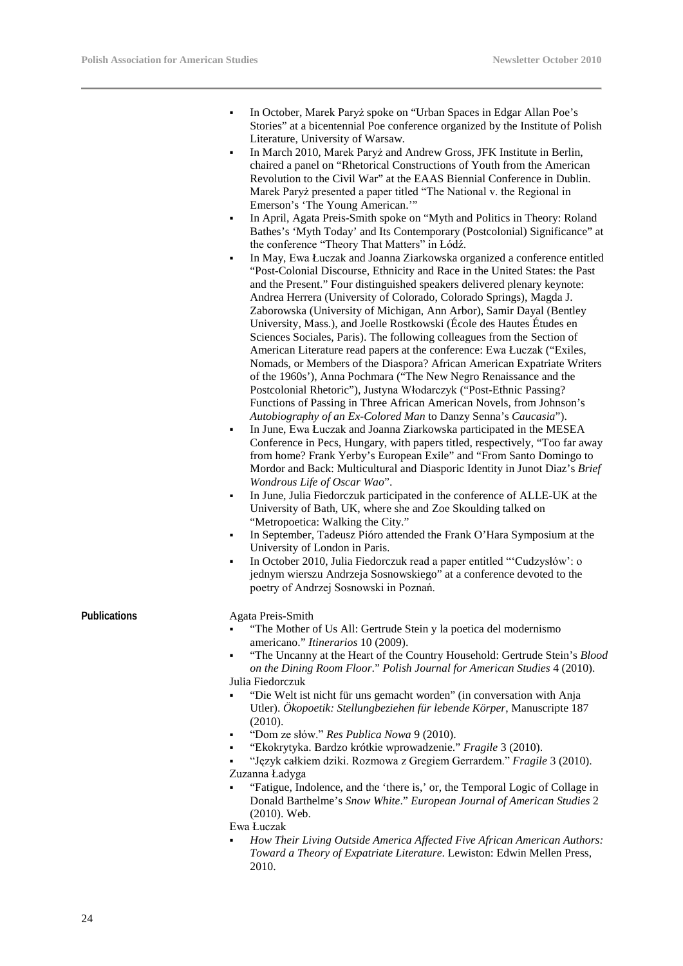- In October, Marek Paryż spoke on "Urban Spaces in Edgar Allan Poe's Stories" at a bicentennial Poe conference organized by the Institute of Polish Literature, University of Warsaw.
- In March 2010, Marek Paryż and Andrew Gross, JFK Institute in Berlin, chaired a panel on "Rhetorical Constructions of Youth from the American Revolution to the Civil War" at the EAAS Biennial Conference in Dublin. Marek Paryż presented a paper titled "The National v. the Regional in Emerson's 'The Young American.'"
- In April, Agata Preis-Smith spoke on "Myth and Politics in Theory: Roland Bathes's 'Myth Today' and Its Contemporary (Postcolonial) Significance" at the conference "Theory That Matters" in Łódź.
- In May, Ewa Łuczak and Joanna Ziarkowska organized a conference entitled "Post-Colonial Discourse, Ethnicity and Race in the United States: the Past and the Present." Four distinguished speakers delivered plenary keynote: Andrea Herrera (University of Colorado, Colorado Springs), Magda J. Zaborowska (University of Michigan, Ann Arbor), Samir Dayal (Bentley University, Mass.), and Joelle Rostkowski (École des Hautes Études en Sciences Sociales, Paris). The following colleagues from the Section of American Literature read papers at the conference: Ewa Łuczak ("Exiles, Nomads, or Members of the Diaspora? African American Expatriate Writers of the 1960s'), Anna Pochmara ("The New Negro Renaissance and the Postcolonial Rhetoric"), Justyna Włodarczyk ("Post-Ethnic Passing? Functions of Passing in Three African American Novels, from Johnson's *Autobiography of an Ex-Colored Man* to Danzy Senna's *Caucasia*").
- In June, Ewa Łuczak and Joanna Ziarkowska participated in the MESEA Conference in Pecs, Hungary, with papers titled, respectively, "Too far away from home? Frank Yerby's European Exile" and "From Santo Domingo to Mordor and Back: Multicultural and Diasporic Identity in Junot Diaz's *Brief Wondrous Life of Oscar Wao*".
- In June, Julia Fiedorczuk participated in the conference of ALLE-UK at the University of Bath, UK, where she and Zoe Skoulding talked on "Metropoetica: Walking the City."
- In September, Tadeusz Pióro attended the Frank O'Hara Symposium at the University of London in Paris.
- In October 2010, Julia Fiedorczuk read a paper entitled "'Cudzysłów': o jednym wierszu Andrzeja Sosnowskiego" at a conference devoted to the poetry of Andrzej Sosnowski in Poznań.

#### Publications **Agata** Preis-Smith

- "The Mother of Us All: Gertrude Stein y la poetica del modernismo americano." *Itinerarios* 10 (2009).
- "The Uncanny at the Heart of the Country Household: Gertrude Stein's *Blood on the Dining Room Floor*." *Polish Journal for American Studies* 4 (2010). Julia Fiedorczuk
- "Die Welt ist nicht für uns gemacht worden" (in conversation with Anja Utler). *Ökopoetik: Stellungbeziehen für lebende Körper*, Manuscripte 187 (2010).
- "Dom ze słów." *Res Publica Nowa* 9 (2010).
- "Ekokrytyka. Bardzo krótkie wprowadzenie." *Fragile* 3 (2010).
- "Język całkiem dziki. Rozmowa z Gregiem Gerrardem." *Fragile* 3 (2010). Zuzanna Ładyga
- "Fatigue, Indolence, and the 'there is,' or, the Temporal Logic of Collage in Donald Barthelme's *Snow White*." *European Journal of American Studies* 2 (2010). Web.

Ewa Łuczak

 *How Their Living Outside America Affected Five African American Authors: Toward a Theory of Expatriate Literature*. Lewiston: Edwin Mellen Press, 2010.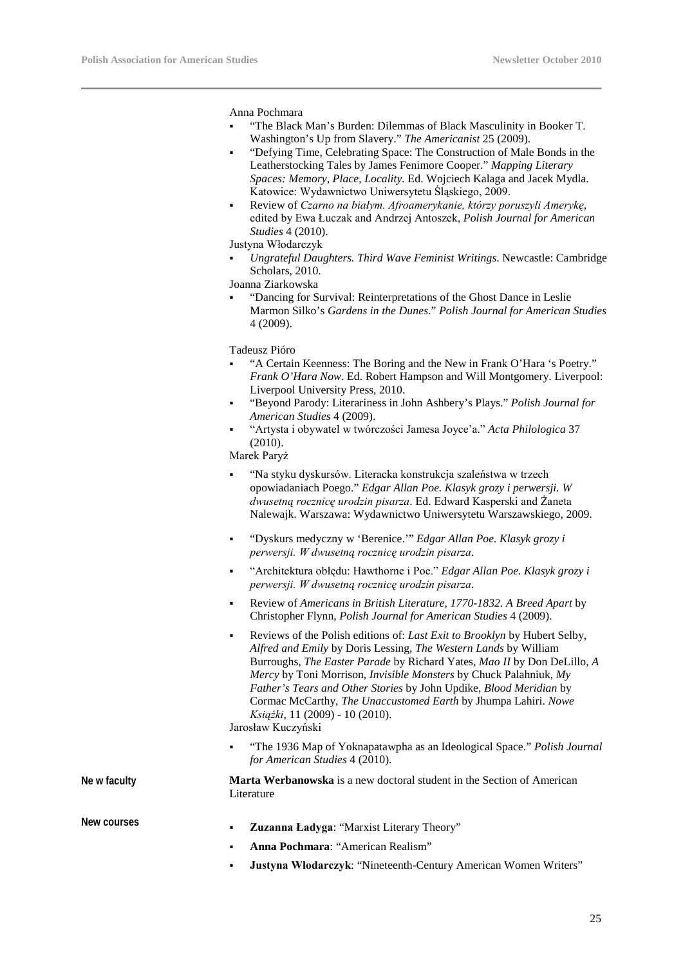Anna Pochmara

- "The Black Man's Burden: Dilemmas of Black Masculinity in Booker T. Washington's Up from Slavery." *The Americanist* 25 (2009).
- "Defying Time, Celebrating Space: The Construction of Male Bonds in the Leatherstocking Tales by James Fenimore Cooper." *Mapping Literary Spaces: Memory, Place, Locality*. Ed. Wojciech Kalaga and Jacek Mydla. Katowice: Wydawnictwo Uniwersytetu Śląskiego, 2009.
- Review of *Czarno na białym. Afroamerykanie, którzy poruszyli Amerykę*, edited by Ewa Łuczak and Andrzej Antoszek, *Polish Journal for American Studies* 4 (2010).

Justyna Włodarczyk

 *Ungrateful Daughters. Third Wave Feminist Writings*. Newcastle: Cambridge Scholars, 2010.

Joanna Ziarkowska

 "Dancing for Survival: Reinterpretations of the Ghost Dance in Leslie Marmon Silko's *Gardens in the Dunes*." *Polish Journal for American Studies* 4 (2009).

Tadeusz Pióro

- "A Certain Keenness: The Boring and the New in Frank O'Hara 's Poetry." *Frank O'Hara Now*. Ed. Robert Hampson and Will Montgomery. Liverpool: Liverpool University Press, 2010.
- "Beyond Parody: Literariness in John Ashbery's Plays." *Polish Journal for American Studies* 4 (2009).
- "Artysta i obywatel w twórczości Jamesa Joyce'a." *Acta Philologica* 37 (2010).

Marek Paryż

- "Na styku dyskursów. Literacka konstrukcja szaleństwa w trzech opowiadaniach Poego." *Edgar Allan Poe. Klasyk grozy i perwersji. W dwusetną rocznicę urodzin pisarza*. Ed. Edward Kasperski and Żaneta Nalewajk. Warszawa: Wydawnictwo Uniwersytetu Warszawskiego, 2009.
- "Dyskurs medyczny w 'Berenice.'" *Edgar Allan Poe. Klasyk grozy i perwersji. W dwusetną rocznicę urodzin pisarza*.
- "Architektura obłędu: Hawthorne i Poe." *Edgar Allan Poe. Klasyk grozy i perwersji. W dwusetną rocznicę urodzin pisarza*.
- Review of *Americans in British Literature, 1770-1832. A Breed Apart* by Christopher Flynn, *Polish Journal for American Studies* 4 (2009).
- Reviews of the Polish editions of: *Last Exit to Brooklyn* by Hubert Selby, *Alfred and Emily* by Doris Lessing, *The Western Lands* by William Burroughs, *The Easter Parade* by Richard Yates, *Mao II* by Don DeLillo, *A Mercy* by Toni Morrison, *Invisible Monsters* by Chuck Palahniuk, *My Father's Tears and Other Stories* by John Updike, *Blood Meridian* by Cormac McCarthy, *The Unaccustomed Earth* by Jhumpa Lahiri. *Nowe Książki*, 11 (2009) - 10 (2010).

Jarosław Kuczyński

 "The 1936 Map of Yoknapatawpha as an Ideological Space." *Polish Journal for American Studies* 4 (2010).

**Ne w faculty Marta Werbanowska** is a new doctoral student in the Section of American Literature

- **New courses Zuzanna Ładyga**: "Marxist Literary Theory"
	- **Anna Pochmara**: "American Realism"
	- **Justyna Włodarczyk**: "Nineteenth-Century American Women Writers"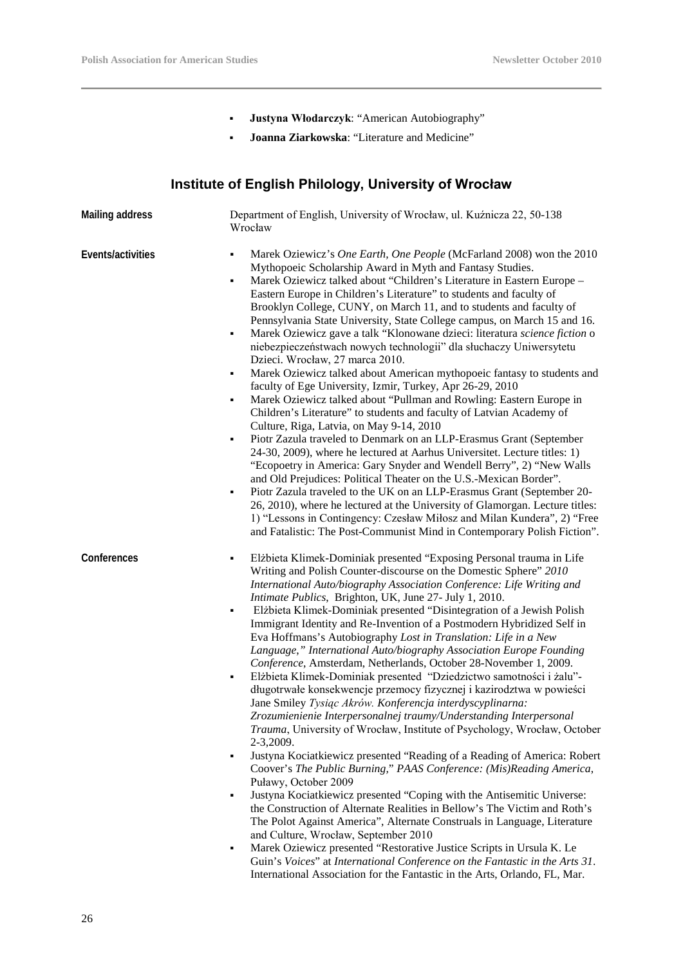- **Justyna Włodarczyk**: "American Autobiography"
- **Joanna Ziarkowska**: "Literature and Medicine"

### **Institute of English Philology, University of Wrocław**

| <b>Mailing address</b> | Department of English, University of Wrocław, ul. Kuźnicza 22, 50-138<br>Wrocław                                                                                                                                                                                                                                                                                                                                                                                                                                                                                                                                                                                                                                                                                                                                                                                                                                                                                                                                                                                                                                                                                                                                                                                                                                                                                                                                                                                                                                                                                                                                                                                                                                                                    |  |  |
|------------------------|-----------------------------------------------------------------------------------------------------------------------------------------------------------------------------------------------------------------------------------------------------------------------------------------------------------------------------------------------------------------------------------------------------------------------------------------------------------------------------------------------------------------------------------------------------------------------------------------------------------------------------------------------------------------------------------------------------------------------------------------------------------------------------------------------------------------------------------------------------------------------------------------------------------------------------------------------------------------------------------------------------------------------------------------------------------------------------------------------------------------------------------------------------------------------------------------------------------------------------------------------------------------------------------------------------------------------------------------------------------------------------------------------------------------------------------------------------------------------------------------------------------------------------------------------------------------------------------------------------------------------------------------------------------------------------------------------------------------------------------------------------|--|--|
| Events/activities      | Marek Oziewicz's One Earth, One People (McFarland 2008) won the 2010<br>٠<br>Mythopoeic Scholarship Award in Myth and Fantasy Studies.<br>Marek Oziewicz talked about "Children's Literature in Eastern Europe -<br>$\blacksquare$<br>Eastern Europe in Children's Literature" to students and faculty of<br>Brooklyn College, CUNY, on March 11, and to students and faculty of<br>Pennsylvania State University, State College campus, on March 15 and 16.<br>Marek Oziewicz gave a talk "Klonowane dzieci: literatura science fiction o<br>٠<br>niebezpieczeństwach nowych technologii" dla słuchaczy Uniwersytetu<br>Dzieci. Wrocław, 27 marca 2010.<br>Marek Oziewicz talked about American mythopoeic fantasy to students and<br>٠<br>faculty of Ege University, Izmir, Turkey, Apr 26-29, 2010<br>Marek Oziewicz talked about "Pullman and Rowling: Eastern Europe in<br>٠<br>Children's Literature" to students and faculty of Latvian Academy of<br>Culture, Riga, Latvia, on May 9-14, 2010<br>Piotr Zazula traveled to Denmark on an LLP-Erasmus Grant (September<br>٠<br>24-30, 2009), where he lectured at Aarhus Universitet. Lecture titles: 1)<br>"Ecopoetry in America: Gary Snyder and Wendell Berry", 2) "New Walls<br>and Old Prejudices: Political Theater on the U.S.-Mexican Border".<br>Piotr Zazula traveled to the UK on an LLP-Erasmus Grant (September 20-<br>٠<br>26, 2010), where he lectured at the University of Glamorgan. Lecture titles:<br>1) "Lessons in Contingency: Czesław Miłosz and Milan Kundera", 2) "Free<br>and Fatalistic: The Post-Communist Mind in Contemporary Polish Fiction".                                                                                                                  |  |  |
| Conferences            | Elżbieta Klimek-Dominiak presented "Exposing Personal trauma in Life<br>٠<br>Writing and Polish Counter-discourse on the Domestic Sphere" 2010<br>International Auto/biography Association Conference: Life Writing and<br>Intimate Publics, Brighton, UK, June 27- July 1, 2010.<br>Elżbieta Klimek-Dominiak presented "Disintegration of a Jewish Polish<br>٠<br>Immigrant Identity and Re-Invention of a Postmodern Hybridized Self in<br>Eva Hoffmans's Autobiography Lost in Translation: Life in a New<br>Language," International Auto/biography Association Europe Founding<br>Conference, Amsterdam, Netherlands, October 28-November 1, 2009.<br>Elżbieta Klimek-Dominiak presented "Dziedzictwo samotności i żalu"-<br>٠<br>długotrwałe konsekwencje przemocy fizycznej i kazirodztwa w powieści<br>Jane Smiley Tysiąc Akrów. Konferencja interdyscyplinarna:<br>Zrozumienienie Interpersonalnej traumy/Understanding Interpersonal<br>Trauma, University of Wrocław, Institute of Psychology, Wrocław, October<br>2-3,2009.<br>Justyna Kociatkiewicz presented "Reading of a Reading of America: Robert<br>٠<br>Coover's The Public Burning," PAAS Conference: (Mis)Reading America,<br>Puławy, October 2009<br>Justyna Kociatkiewicz presented "Coping with the Antisemitic Universe:<br>٠<br>the Construction of Alternate Realities in Bellow's The Victim and Roth's<br>The Polot Against America", Alternate Construals in Language, Literature<br>and Culture, Wrocław, September 2010<br>Marek Oziewicz presented "Restorative Justice Scripts in Ursula K. Le<br>٠<br>Guin's Voices" at International Conference on the Fantastic in the Arts 31.<br>International Association for the Fantastic in the Arts, Orlando, FL, Mar. |  |  |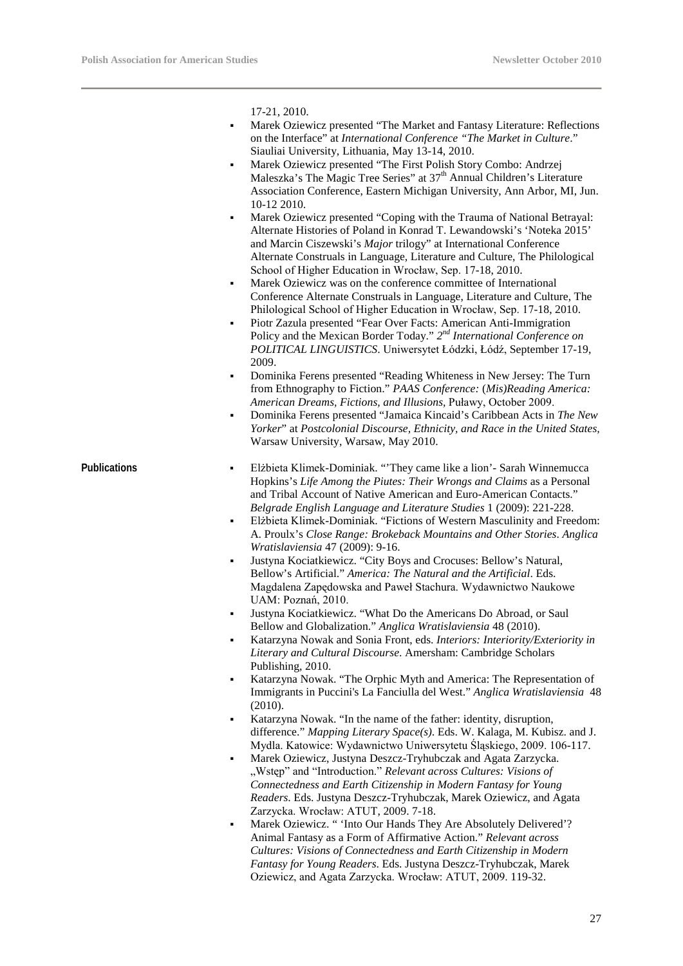17-21, 2010.

- Marek Oziewicz presented "The Market and Fantasy Literature: Reflections on the Interface" at *International Conference "The Market in Culture*." Siauliai University, Lithuania, May 13-14, 2010.
- Marek Oziewicz presented "The First Polish Story Combo: Andrzej Maleszka's The Magic Tree Series" at 37<sup>th</sup> Annual Children's Literature Association Conference, Eastern Michigan University, Ann Arbor, MI, Jun. 10-12 2010.
- Marek Oziewicz presented "Coping with the Trauma of National Betrayal: Alternate Histories of Poland in Konrad T. Lewandowski's 'Noteka 2015' and Marcin Ciszewski's *Major* trilogy" at International Conference Alternate Construals in Language, Literature and Culture, The Philological School of Higher Education in Wrocław, Sep. 17-18, 2010.
- Marek Oziewicz was on the conference committee of International Conference Alternate Construals in Language, Literature and Culture, The Philological School of Higher Education in Wrocław, Sep. 17-18, 2010.
- Piotr Zazula presented "Fear Over Facts: American Anti-Immigration Policy and the Mexican Border Today." *2nd International Conference on POLITICAL LINGUISTICS*. Uniwersytet Łódzki, Łódź, September 17-19, 2009.
- Dominika Ferens presented "Reading Whiteness in New Jersey: The Turn from Ethnography to Fiction." *PAAS Conference:* (*Mis)Reading America: American Dreams, Fictions, and Illusions,* Puławy, October 2009.
- Dominika Ferens presented "Jamaica Kincaid's Caribbean Acts in *The New Yorker*" at *Postcolonial Discourse, Ethnicity, and Race in the United States,*  Warsaw University, Warsaw, May 2010.

- Publications **Elżbieta Klimek-Dominiak.** "They came like a lion'- Sarah Winnemucca Hopkins's *Life Among the Piutes: Their Wrongs and Claims* as a Personal and Tribal Account of Native American and Euro-American Contacts." *Belgrade English Language and Literature Studies* 1 (2009): 221-228.
	- Elżbieta Klimek-Dominiak. "Fictions of Western Masculinity and Freedom: A. Proulx's *Close Range: Brokeback Mountains and Other Stories*. *Anglica Wratislaviensia* 47 (2009): 9-16.
	- Justyna Kociatkiewicz. "City Boys and Crocuses: Bellow's Natural, Bellow's Artificial." *America: The Natural and the Artificial*. Eds. Magdalena Zapędowska and Paweł Stachura. Wydawnictwo Naukowe UAM: Poznań, 2010.
	- Justyna Kociatkiewicz. "What Do the Americans Do Abroad, or Saul Bellow and Globalization." *Anglica Wratislaviensia* 48 (2010).
	- Katarzyna Nowak and Sonia Front, eds. *Interiors: Interiority/Exteriority in Literary and Cultural Discourse*. Amersham: Cambridge Scholars Publishing, 2010.
	- Katarzyna Nowak. "The Orphic Myth and America: The Representation of Immigrants in Puccini's La Fanciulla del West." *Anglica Wratislaviensia* 48 (2010).
	- Katarzyna Nowak. "In the name of the father: identity, disruption, difference." *Mapping Literary Space(s)*. Eds. W. Kalaga, M. Kubisz. and J. Mydla. Katowice: Wydawnictwo Uniwersytetu Śląskiego, 2009. 106-117.
	- Marek Oziewicz, Justyna Deszcz-Tryhubczak and Agata Zarzycka. "Wstęp" and "Introduction." *Relevant across Cultures: Visions of Connectedness and Earth Citizenship in Modern Fantasy for Young Readers*. Eds. Justyna Deszcz-Tryhubczak, Marek Oziewicz, and Agata Zarzycka. Wrocław: ATUT, 2009. 7-18.
	- Marek Oziewicz. " 'Into Our Hands They Are Absolutely Delivered'? Animal Fantasy as a Form of Affirmative Action." *Relevant across Cultures: Visions of Connectedness and Earth Citizenship in Modern Fantasy for Young Readers*. Eds. Justyna Deszcz-Tryhubczak, Marek Oziewicz, and Agata Zarzycka. Wrocław: ATUT, 2009. 119-32.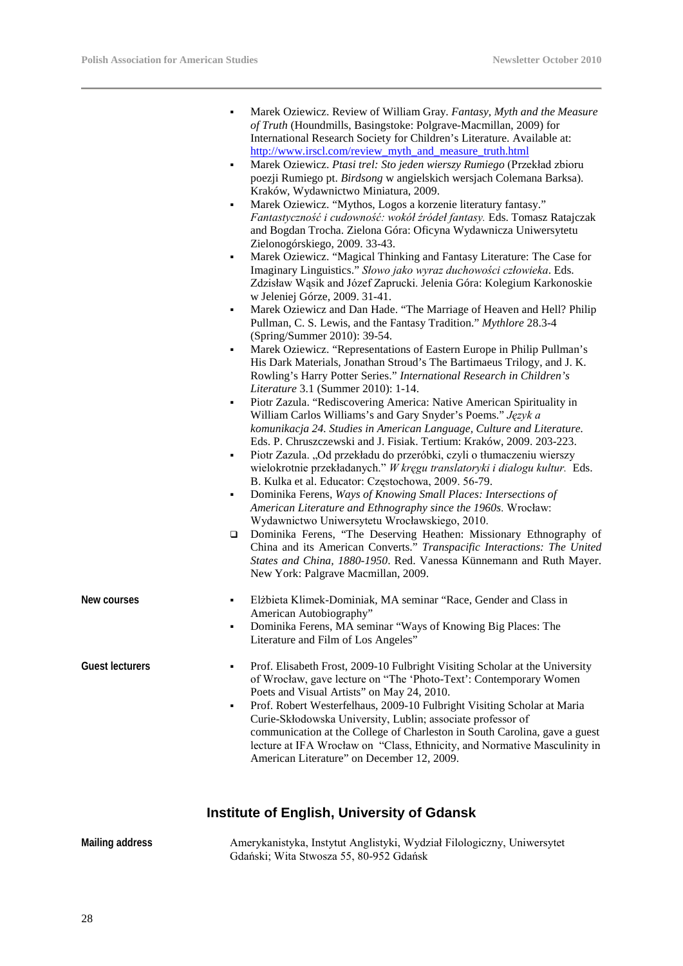L,

|                        | ٠<br>٠<br>٠<br>٠<br>٠<br>٠<br>٠<br>٠<br>$\Box$ | Marek Oziewicz. Review of William Gray. Fantasy, Myth and the Measure<br>of Truth (Houndmills, Basingstoke: Polgrave-Macmillan, 2009) for<br>International Research Society for Children's Literature. Available at:<br>http://www.irscl.com/review myth and measure truth.html<br>Marek Oziewicz. Ptasi trel: Sto jeden wierszy Rumiego (Przekład zbioru<br>poezji Rumiego pt. Birdsong w angielskich wersjach Colemana Barksa).<br>Kraków, Wydawnictwo Miniatura, 2009.<br>Marek Oziewicz. "Mythos, Logos a korzenie literatury fantasy."<br>Fantastyczność i cudowność: wokół źródeł fantasy. Eds. Tomasz Ratajczak<br>and Bogdan Trocha. Zielona Góra: Oficyna Wydawnicza Uniwersytetu<br>Zielonogórskiego, 2009. 33-43.<br>Marek Oziewicz. "Magical Thinking and Fantasy Literature: The Case for<br>Imaginary Linguistics." Słowo jako wyraz duchowości człowieka. Eds.<br>Zdzisław Wąsik and Józef Zaprucki. Jelenia Góra: Kolegium Karkonoskie<br>w Jeleniej Górze, 2009. 31-41.<br>Marek Oziewicz and Dan Hade. "The Marriage of Heaven and Hell? Philip<br>Pullman, C. S. Lewis, and the Fantasy Tradition." Mythlore 28.3-4<br>(Spring/Summer 2010): 39-54.<br>Marek Oziewicz. "Representations of Eastern Europe in Philip Pullman's<br>His Dark Materials, Jonathan Stroud's The Bartimaeus Trilogy, and J. K.<br>Rowling's Harry Potter Series." International Research in Children's<br>Literature 3.1 (Summer 2010): 1-14.<br>Piotr Zazula. "Rediscovering America: Native American Spirituality in<br>William Carlos Williams's and Gary Snyder's Poems." Język a<br>komunikacja 24. Studies in American Language, Culture and Literature.<br>Eds. P. Chruszczewski and J. Fisiak. Tertium: Kraków, 2009. 203-223.<br>Piotr Zazula. "Od przekładu do przeróbki, czyli o tłumaczeniu wierszy<br>wielokrotnie przekładanych." W kręgu translatoryki i dialogu kultur. Eds.<br>B. Kulka et al. Educator: Częstochowa, 2009. 56-79.<br>Dominika Ferens, Ways of Knowing Small Places: Intersections of<br>American Literature and Ethnography since the 1960s. Wrocław:<br>Wydawnictwo Uniwersytetu Wrocławskiego, 2010.<br>Dominika Ferens, "The Deserving Heathen: Missionary Ethnography of<br>China and its American Converts." Transpacific Interactions: The United<br>States and China, 1880-1950. Red. Vanessa Künnemann and Ruth Mayer.<br>New York: Palgrave Macmillan, 2009. |
|------------------------|------------------------------------------------|------------------------------------------------------------------------------------------------------------------------------------------------------------------------------------------------------------------------------------------------------------------------------------------------------------------------------------------------------------------------------------------------------------------------------------------------------------------------------------------------------------------------------------------------------------------------------------------------------------------------------------------------------------------------------------------------------------------------------------------------------------------------------------------------------------------------------------------------------------------------------------------------------------------------------------------------------------------------------------------------------------------------------------------------------------------------------------------------------------------------------------------------------------------------------------------------------------------------------------------------------------------------------------------------------------------------------------------------------------------------------------------------------------------------------------------------------------------------------------------------------------------------------------------------------------------------------------------------------------------------------------------------------------------------------------------------------------------------------------------------------------------------------------------------------------------------------------------------------------------------------------------------------------------------------------------------------------------------------------------------------------------------------------------------------------------------------------------------------------------------------------------------------------------------------------------------------------------------------------------------------------------------------------------------------------------------------------------------------------------------------------------------------|
| New courses            |                                                | Elżbieta Klimek-Dominiak, MA seminar "Race, Gender and Class in<br>American Autobiography"<br>Dominika Ferens, MA seminar "Ways of Knowing Big Places: The<br>Literature and Film of Los Angeles"                                                                                                                                                                                                                                                                                                                                                                                                                                                                                                                                                                                                                                                                                                                                                                                                                                                                                                                                                                                                                                                                                                                                                                                                                                                                                                                                                                                                                                                                                                                                                                                                                                                                                                                                                                                                                                                                                                                                                                                                                                                                                                                                                                                                    |
| <b>Guest lecturers</b> | ٠<br>٠                                         | Prof. Elisabeth Frost, 2009-10 Fulbright Visiting Scholar at the University<br>of Wrocław, gave lecture on "The 'Photo-Text': Contemporary Women<br>Poets and Visual Artists" on May 24, 2010.<br>Prof. Robert Westerfelhaus, 2009-10 Fulbright Visiting Scholar at Maria<br>Curie-Skłodowska University, Lublin; associate professor of<br>communication at the College of Charleston in South Carolina, gave a guest<br>lecture at IFA Wrocław on "Class, Ethnicity, and Normative Masculinity in<br>American Literature" on December 12, 2009.                                                                                                                                                                                                                                                                                                                                                                                                                                                                                                                                                                                                                                                                                                                                                                                                                                                                                                                                                                                                                                                                                                                                                                                                                                                                                                                                                                                                                                                                                                                                                                                                                                                                                                                                                                                                                                                    |

## **Institute of English, University of Gdansk**

| Mailing address | Amerykanistyka, Instytut Anglistyki, Wydział Filologiczny, Uniwersytet |
|-----------------|------------------------------------------------------------------------|
|                 | Gdański; Wita Stwosza 55, 80-952 Gdańsk                                |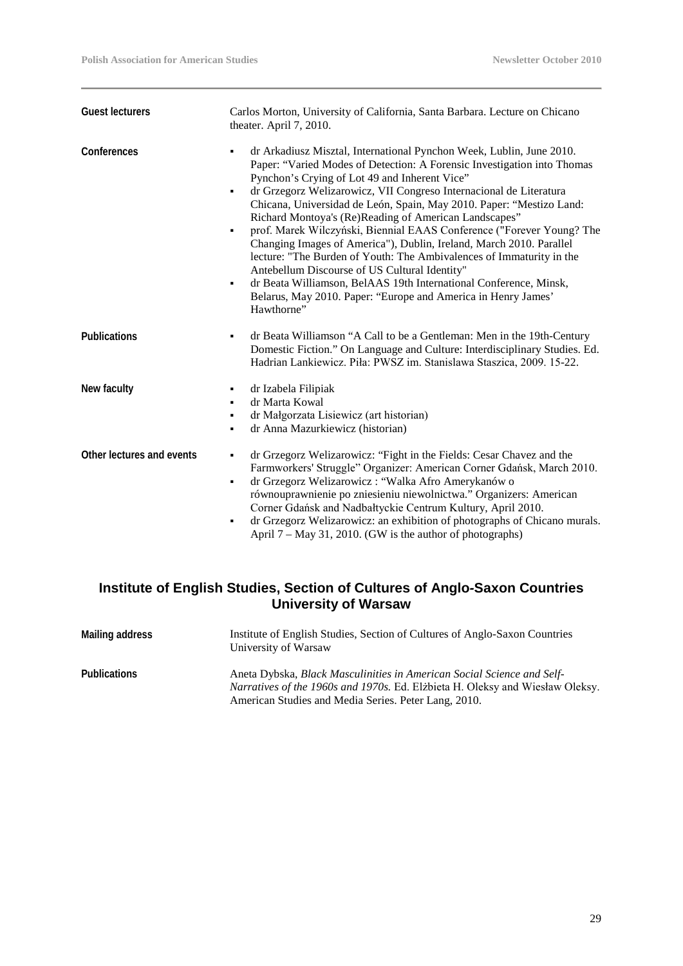| <b>Guest lecturers</b>    | Carlos Morton, University of California, Santa Barbara. Lecture on Chicano<br>theater. April 7, 2010.                                                                                                                                                                                                                                                                                                                                                                                                                                                                                                                                                                                                                                                                                                                                               |  |
|---------------------------|-----------------------------------------------------------------------------------------------------------------------------------------------------------------------------------------------------------------------------------------------------------------------------------------------------------------------------------------------------------------------------------------------------------------------------------------------------------------------------------------------------------------------------------------------------------------------------------------------------------------------------------------------------------------------------------------------------------------------------------------------------------------------------------------------------------------------------------------------------|--|
| Conferences               | dr Arkadiusz Misztal, International Pynchon Week, Lublin, June 2010.<br>Paper: "Varied Modes of Detection: A Forensic Investigation into Thomas<br>Pynchon's Crying of Lot 49 and Inherent Vice"<br>dr Grzegorz Welizarowicz, VII Congreso Internacional de Literatura<br>٠<br>Chicana, Universidad de León, Spain, May 2010. Paper: "Mestizo Land:<br>Richard Montoya's (Re)Reading of American Landscapes"<br>prof. Marek Wilczyński, Biennial EAAS Conference ("Forever Young? The<br>٠<br>Changing Images of America"), Dublin, Ireland, March 2010. Parallel<br>lecture: "The Burden of Youth: The Ambivalences of Immaturity in the<br>Antebellum Discourse of US Cultural Identity"<br>dr Beata Williamson, BelAAS 19th International Conference, Minsk,<br>٠<br>Belarus, May 2010. Paper: "Europe and America in Henry James"<br>Hawthorne" |  |
| <b>Publications</b>       | dr Beata Williamson "A Call to be a Gentleman: Men in the 19th-Century<br>٠<br>Domestic Fiction." On Language and Culture: Interdisciplinary Studies. Ed.<br>Hadrian Lankiewicz. Piła: PWSZ im. Stanislawa Staszica, 2009. 15-22.                                                                                                                                                                                                                                                                                                                                                                                                                                                                                                                                                                                                                   |  |
| New faculty               | dr Izabela Filipiak<br>٠<br>dr Marta Kowal<br>٠<br>dr Małgorzata Lisiewicz (art historian)<br>٠<br>dr Anna Mazurkiewicz (historian)<br>٠                                                                                                                                                                                                                                                                                                                                                                                                                                                                                                                                                                                                                                                                                                            |  |
| Other lectures and events | dr Grzegorz Welizarowicz: "Fight in the Fields: Cesar Chavez and the<br>٠<br>Farmworkers' Struggle" Organizer: American Corner Gdańsk, March 2010.<br>dr Grzegorz Welizarowicz: "Walka Afro Amerykanów o<br>٠<br>równouprawnienie po zniesieniu niewolnictwa." Organizers: American<br>Corner Gdańsk and Nadbałtyckie Centrum Kultury, April 2010.<br>dr Grzegorz Welizarowicz: an exhibition of photographs of Chicano murals.<br>٠<br>April 7 – May 31, 2010. (GW is the author of photographs)                                                                                                                                                                                                                                                                                                                                                   |  |

### **Institute of English Studies, Section of Cultures of Anglo***-***Saxon Countries University of Warsaw**

| Mailing address     | Institute of English Studies, Section of Cultures of Anglo-Saxon Countries<br>University of Warsaw                                                                                                                            |
|---------------------|-------------------------------------------------------------------------------------------------------------------------------------------------------------------------------------------------------------------------------|
| <b>Publications</b> | Aneta Dybska, <i>Black Masculinities in American Social Science and Self-</i><br><i>Narratives of the 1960s and 1970s.</i> Ed. Elżbieta H. Oleksy and Wiesław Oleksy.<br>American Studies and Media Series. Peter Lang, 2010. |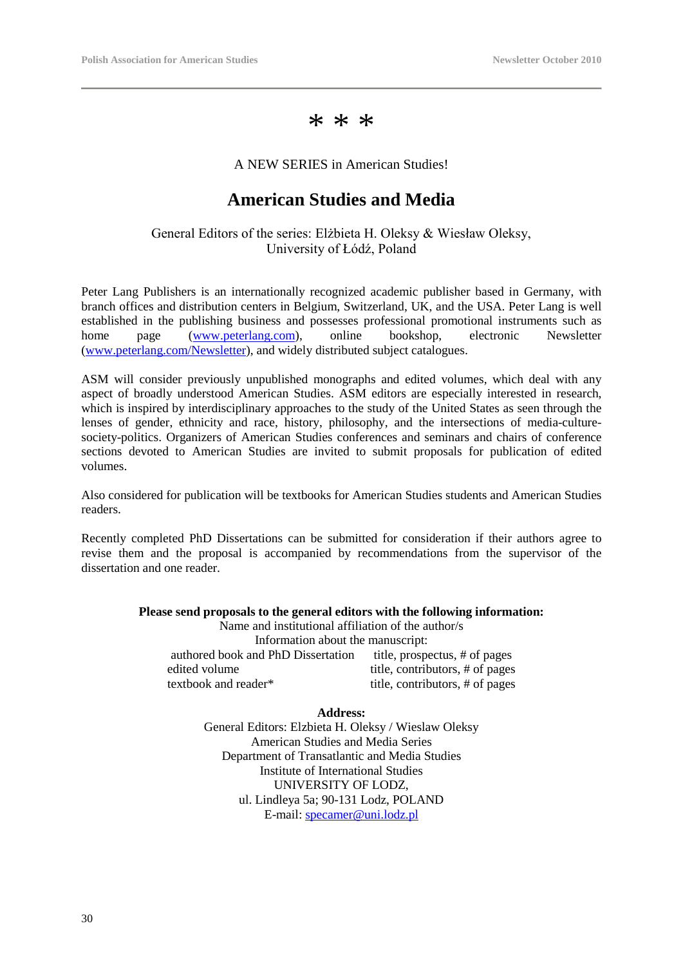\* \* \*

#### A NEW SERIES in American Studies!

### **American Studies and Media**

### General Editors of the series: Elżbieta H. Oleksy & Wiesław Oleksy, University of Łódź, Poland

Peter Lang Publishers is an internationally recognized academic publisher based in Germany, with branch offices and distribution centers in Belgium, Switzerland, UK, and the USA. Peter Lang is well established in the publishing business and possesses professional promotional instruments such as home page [\(www.peterlang.com\)](http://www.peterlang.com/), online bookshop, electronic Newsletter [\(www.peterlang.com/Newsletter\)](http://www.peterlang.com/Newsletter), and widely distributed subject catalogues.

ASM will consider previously unpublished monographs and edited volumes, which deal with any aspect of broadly understood American Studies. ASM editors are especially interested in research, which is inspired by interdisciplinary approaches to the study of the United States as seen through the lenses of gender, ethnicity and race, history, philosophy, and the intersections of media-culturesociety-politics. Organizers of American Studies conferences and seminars and chairs of conference sections devoted to American Studies are invited to submit proposals for publication of edited volumes.

Also considered for publication will be textbooks for American Studies students and American Studies readers.

Recently completed PhD Dissertations can be submitted for consideration if their authors agree to revise them and the proposal is accompanied by recommendations from the supervisor of the dissertation and one reader.

#### **Please send proposals to the general editors with the following information:** Name and institutional affiliation of the author/s Information about the manuscript: authored book and PhD Dissertation title, prospectus, # of pages edited volume title, contributors, # of pages textbook and reader\* title, contributors, # of pages

**Address:** General Editors: Elzbieta H. Oleksy / Wieslaw Oleksy American Studies and Media Series Department of Transatlantic and Media Studies Institute of International Studies UNIVERSITY OF LODZ, ul. Lindleya 5a; 90-131 Lodz, POLAND E-mail: [specamer@uni.lodz.pl](mailto:specamer@uni.lodz.pl)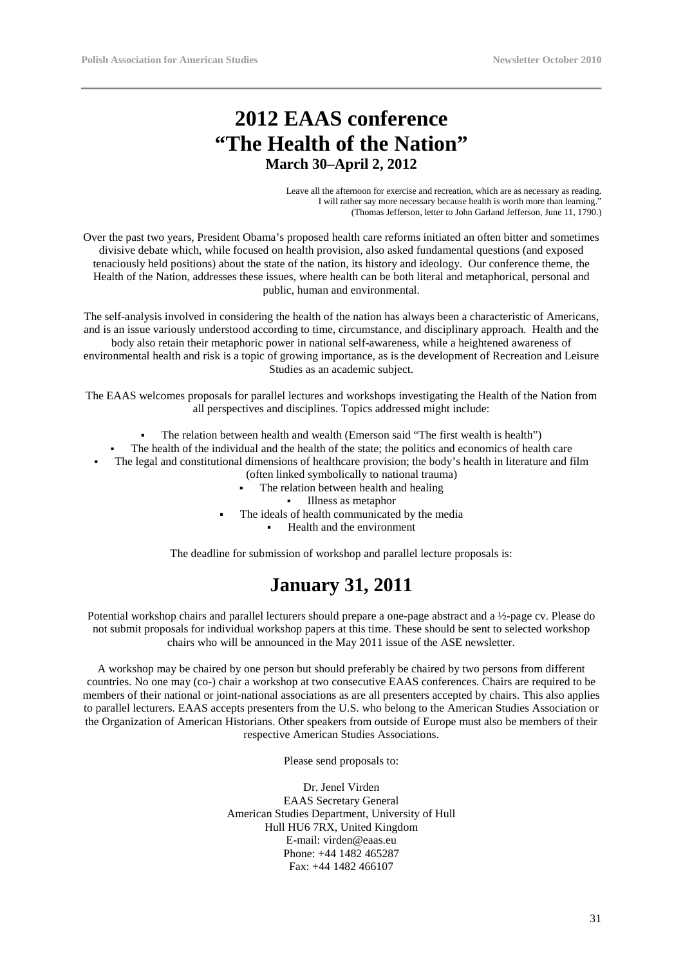# **2012 EAAS conference "The Health of the Nation" March 30–April 2, 2012**

Leave all the afternoon for exercise and recreation, which are as necessary as reading. I will rather say more necessary because health is worth more than learning." (Thomas Jefferson, letter to John Garland Jefferson, June 11, 1790.)

Over the past two years, President Obama's proposed health care reforms initiated an often bitter and sometimes divisive debate which, while focused on health provision, also asked fundamental questions (and exposed tenaciously held positions) about the state of the nation, its history and ideology. Our conference theme, the Health of the Nation, addresses these issues, where health can be both literal and metaphorical, personal and public, human and environmental.

The self-analysis involved in considering the health of the nation has always been a characteristic of Americans, and is an issue variously understood according to time, circumstance, and disciplinary approach. Health and the body also retain their metaphoric power in national self-awareness, while a heightened awareness of environmental health and risk is a topic of growing importance, as is the development of Recreation and Leisure Studies as an academic subject.

The EAAS welcomes proposals for parallel lectures and workshops investigating the Health of the Nation from all perspectives and disciplines. Topics addressed might include:

- The relation between health and wealth (Emerson said "The first wealth is health")
- The health of the individual and the health of the state; the politics and economics of health care
- The legal and constitutional dimensions of healthcare provision; the body's health in literature and film (often linked symbolically to national trauma)
	- The relation between health and healing
		- Illness as metaphor
	- The ideals of health communicated by the media
		- Health and the environment

The deadline for submission of workshop and parallel lecture proposals is:

### **January 31, 2011**

Potential workshop chairs and parallel lecturers should prepare a one-page abstract and a ½-page cv. Please do not submit proposals for individual workshop papers at this time. These should be sent to selected workshop chairs who will be announced in the May 2011 issue of the ASE newsletter.

A workshop may be chaired by one person but should preferably be chaired by two persons from different countries. No one may (co-) chair a workshop at two consecutive EAAS conferences. Chairs are required to be members of their national or joint-national associations as are all presenters accepted by chairs. This also applies to parallel lecturers. EAAS accepts presenters from the U.S. who belong to the American Studies Association or the Organization of American Historians. Other speakers from outside of Europe must also be members of their respective American Studies Associations.

Please send proposals to:

Dr. Jenel Virden EAAS Secretary General American Studies Department, University of Hull Hull HU6 7RX, United Kingdom E-mail: virden@eaas.eu Phone: +44 1482 465287 Fax: +44 1482 466107